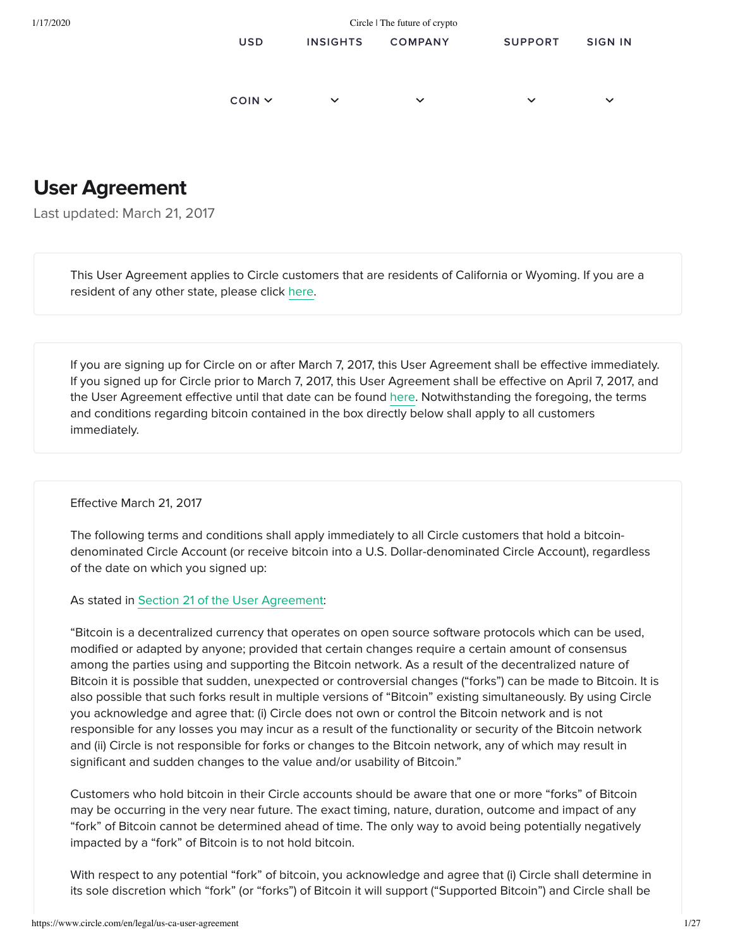| 1/17/2020 | Circle   The future of crypto |                 |                |                |                |
|-----------|-------------------------------|-----------------|----------------|----------------|----------------|
|           | <b>USD</b>                    | <b>INSIGHTS</b> | <b>COMPANY</b> | <b>SUPPORT</b> | <b>SIGN IN</b> |
|           |                               |                 |                |                |                |
|           | $COIN$ $\sim$                 | $\checkmark$    | $\checkmark$   | $\checkmark$   | $\checkmark$   |

# User Agreement

Last updated: March 21, 2017

This User Agreement applies to Circle customers that are residents of California or Wyoming. If you are a resident of any other state, please click [here](https://www.circle.com/en/legal/us-user-agreement).

If you are signing up for Circle on or after March 7, 2017, this User Agreement shall be effective immediately. If you signed up for Circle prior to March 7, 2017, this User Agreement shall be effective on April 7, 2017, and the User Agreement effective until that date can be found [here.](https://www.circle.com/marketing/pdfs/legal/CA-WY_UA_7Dec2016.pdf) Notwithstanding the foregoing, the terms and conditions regarding bitcoin contained in the box directly below shall apply to all customers immediately.

Effective March 21, 2017

The following terms and conditions shall apply immediately to all Circle customers that hold a bitcoindenominated Circle Account (or receive bitcoin into a U.S. Dollar-denominated Circle Account), regardless of the date on which you signed up:

As stated in Section 21 of the User Agreement:

"Bitcoin is a decentralized currency that operates on open source software protocols which can be used, modified or adapted by anyone; provided that certain changes require a certain amount of consensus among the parties using and supporting the Bitcoin network. As a result of the decentralized nature of Bitcoin it is possible that sudden, unexpected or controversial changes ("forks") can be made to Bitcoin. It is also possible that such forks result in multiple versions of "Bitcoin" existing simultaneously. By using Circle you acknowledge and agree that: (i) Circle does not own or control the Bitcoin network and is not responsible for any losses you may incur as a result of the functionality or security of the Bitcoin network and (ii) Circle is not responsible for forks or changes to the Bitcoin network, any of which may result in significant and sudden changes to the value and/or usability of Bitcoin."

Customers who hold bitcoin in their Circle accounts should be aware that one or more "forks" of Bitcoin may be occurring in the very near future. The exact timing, nature, duration, outcome and impact of any "fork" of Bitcoin cannot be determined ahead of time. The only way to avoid being potentially negatively impacted by a "fork" of Bitcoin is to not hold bitcoin.

With respect to any potential "fork" of bitcoin, you acknowledge and agree that (i) Circle shall determine in its sole discretion which "fork" (or "forks") of Bitcoin it will support ("Supported Bitcoin") and Circle shall be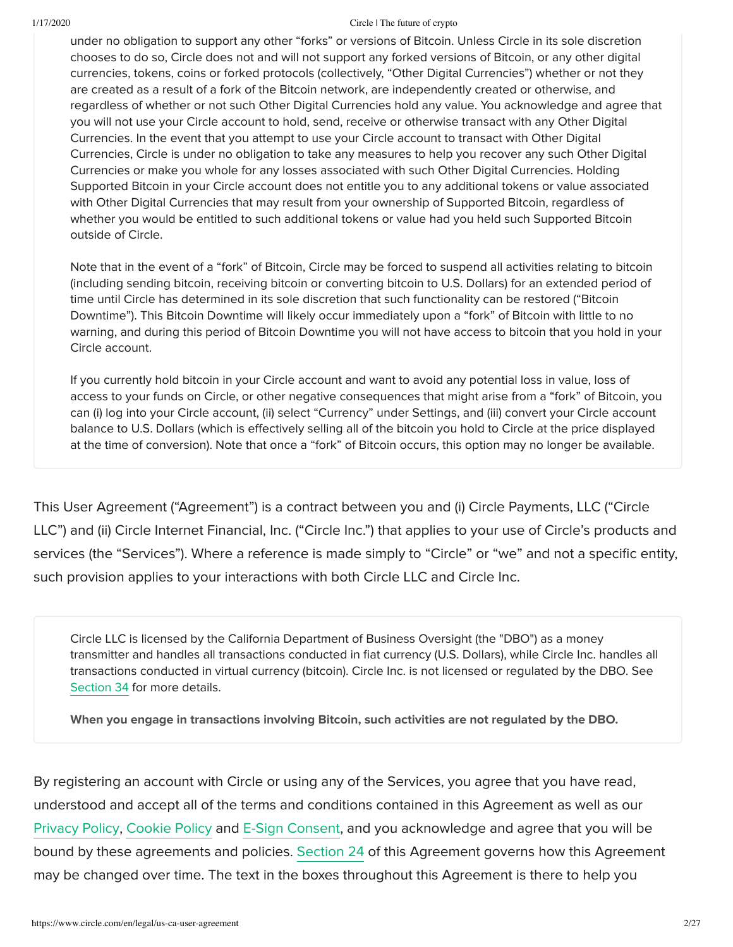under no obligation to support any other "forks" or versions of Bitcoin. Unless Circle in its sole discretion chooses to do so, Circle does not and will not support any forked versions of Bitcoin, or any other digital currencies, tokens, coins or forked protocols (collectively, "Other Digital Currencies") whether or not they are created as a result of a fork of the Bitcoin network, are independently created or otherwise, and regardless of whether or not such Other Digital Currencies hold any value. You acknowledge and agree that you will not use your Circle account to hold, send, receive or otherwise transact with any Other Digital Currencies. In the event that you attempt to use your Circle account to transact with Other Digital Currencies, Circle is under no obligation to take any measures to help you recover any such Other Digital Currencies or make you whole for any losses associated with such Other Digital Currencies. Holding Supported Bitcoin in your Circle account does not entitle you to any additional tokens or value associated with Other Digital Currencies that may result from your ownership of Supported Bitcoin, regardless of whether you would be entitled to such additional tokens or value had you held such Supported Bitcoin outside of Circle.

Note that in the event of a "fork" of Bitcoin, Circle may be forced to suspend all activities relating to bitcoin (including sending bitcoin, receiving bitcoin or converting bitcoin to U.S. Dollars) for an extended period of time until Circle has determined in its sole discretion that such functionality can be restored ("Bitcoin Downtime"). This Bitcoin Downtime will likely occur immediately upon a "fork" of Bitcoin with little to no warning, and during this period of Bitcoin Downtime you will not have access to bitcoin that you hold in your Circle account.

If you currently hold bitcoin in your Circle account and want to avoid any potential loss in value, loss of access to your funds on Circle, or other negative consequences that might arise from a "fork" of Bitcoin, you can (i) log into your Circle account, (ii) select "Currency" under Settings, and (iii) convert your Circle account balance to U.S. Dollars (which is effectively selling all of the bitcoin you hold to Circle at the price displayed at the time of conversion). Note that once a "fork" of Bitcoin occurs, this option may no longer be available.

This User Agreement ("Agreement") is a contract between you and (i) Circle Payments, LLC ("Circle LLC") and (ii) Circle Internet Financial, Inc. ("Circle Inc.") that applies to your use of Circle's products and services (the "Services"). Where a reference is made simply to "Circle" or "we" and not a specific entity, such provision applies to your interactions with both Circle LLC and Circle Inc.

Circle LLC is licensed by the California Department of Business Oversight (the "DBO") as a money transmitter and handles all transactions conducted in fiat currency (U.S. Dollars), while Circle Inc. handles all transactions conducted in virtual currency (bitcoin). Circle Inc. is not licensed or regulated by the DBO. See Section 34 for more details.

When you engage in transactions involving Bitcoin, such activities are not regulated by the DBO.

By registering an account with Circle or using any of the Services, you agree that you have read, understood and accept all of the terms and conditions contained in this Agreement as well as our [Privacy Policy,](https://www.circle.com/en/legal/us-ca-privacy) [Cookie Policy](https://www.circle.com/en/legal/us-ca-cookie-policy) and [E-Sign Consent](https://www.circle.com/en/legal/us-ca-esign), and you acknowledge and agree that you will be bound by these agreements and policies. Section 24 of this Agreement governs how this Agreement may be changed over time. The text in the boxes throughout this Agreement is there to help you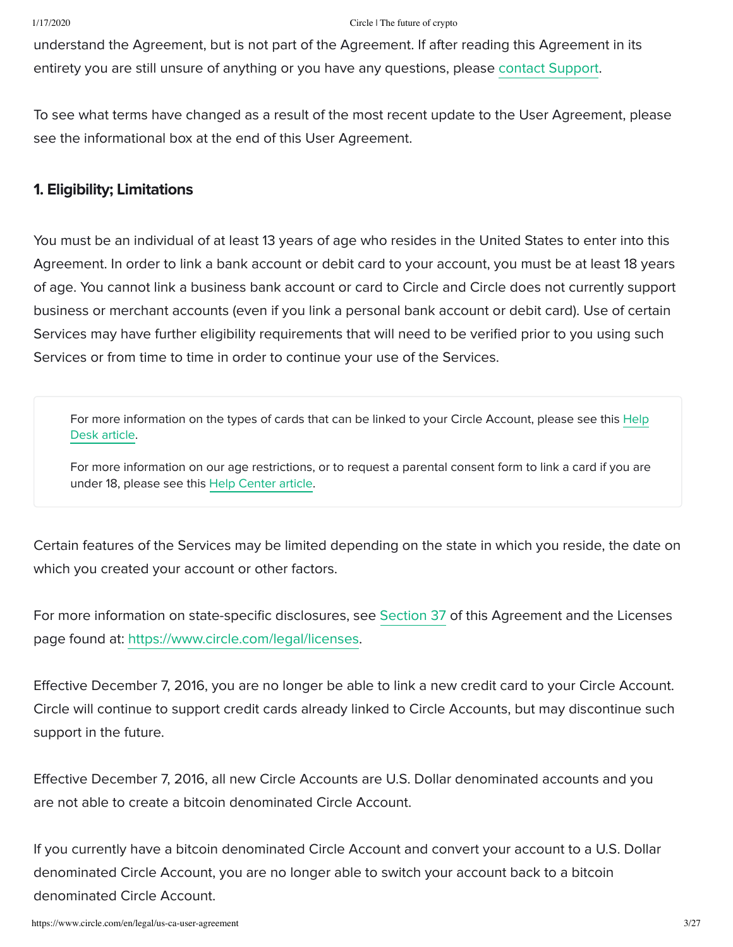understand the Agreement, but is not part of the Agreement. If after reading this Agreement in its entirety you are still unsure of anything or you have any questions, please [contact Support](https://support.circle.com/hc/en-us/requests/new).

To see what terms have changed as a result of the most recent update to the User Agreement, please see the informational box at the end of this User Agreement.

## 1. Eligibility; Limitations

You must be an individual of at least 13 years of age who resides in the United States to enter into this Agreement. In order to link a bank account or debit card to your account, you must be at least 18 years of age. You cannot link a business bank account or card to Circle and Circle does not currently support business or merchant accounts (even if you link a personal bank account or debit card). Use of certain Services may have further eligibility requirements that will need to be verified prior to you using such Services or from time to time in order to continue your use of the Services.

[For more information on the types of cards that can be linked to your Circle Account, please see this Help](https://support.circle.com/hc/en-us/articles/212058926--Which-debit-cards-can-I-use-) Desk article.

For more information on our age restrictions, or to request a parental consent form to link a card if you are under 18, please see this [Help Center article](https://support.circle.com/hc/en-us/articles/212059126--What-are-the-age-requirements-for-using-Circle-).

Certain features of the Services may be limited depending on the state in which you reside, the date on which you created your account or other factors.

For more information on state-specific disclosures, see Section 37 of this Agreement and the Licenses page found at: [https://www.circle.com/legal/licenses.](https://www.circle.com/en/legal/us-ca-licenses)

Effective December 7, 2016, you are no longer be able to link a new credit card to your Circle Account. Circle will continue to support credit cards already linked to Circle Accounts, but may discontinue such support in the future.

Effective December 7, 2016, all new Circle Accounts are U.S. Dollar denominated accounts and you are not able to create a bitcoin denominated Circle Account.

If you currently have a bitcoin denominated Circle Account and convert your account to a U.S. Dollar denominated Circle Account, you are no longer able to switch your account back to a bitcoin denominated Circle Account.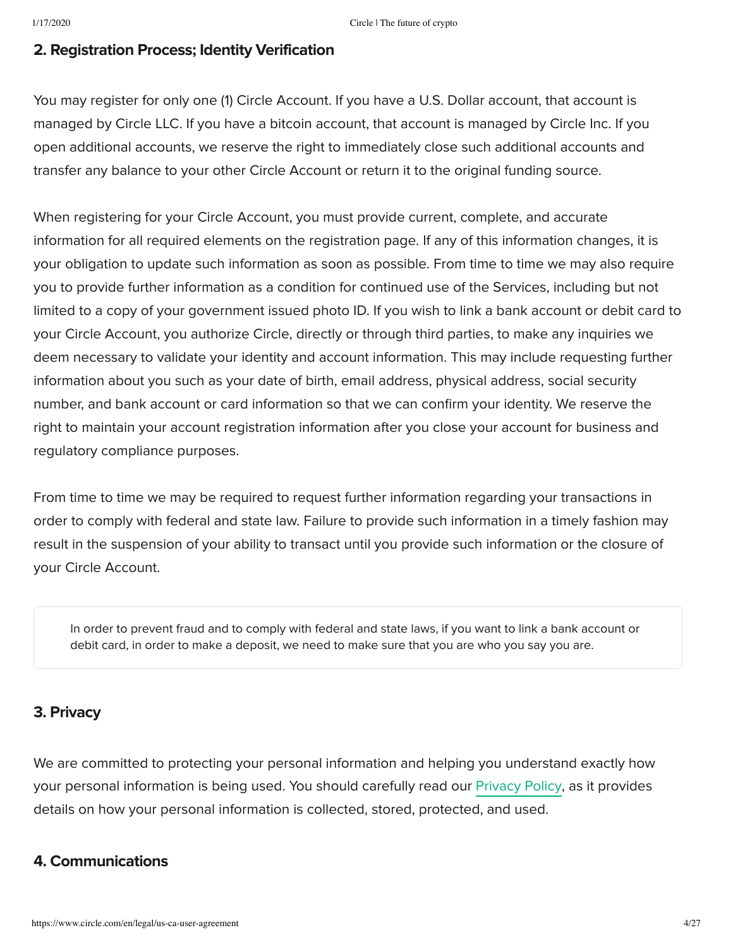# 2. Registration Process; Identity Verification

You may register for only one (1) Circle Account. If you have a U.S. Dollar account, that account is managed by Circle LLC. If you have a bitcoin account, that account is managed by Circle Inc. If you open additional accounts, we reserve the right to immediately close such additional accounts and transfer any balance to your other Circle Account or return it to the original funding source.

When registering for your Circle Account, you must provide current, complete, and accurate information for all required elements on the registration page. If any of this information changes, it is your obligation to update such information as soon as possible. From time to time we may also require you to provide further information as a condition for continued use of the Services, including but not limited to a copy of your government issued photo ID. If you wish to link a bank account or debit card to your Circle Account, you authorize Circle, directly or through third parties, to make any inquiries we deem necessary to validate your identity and account information. This may include requesting further information about you such as your date of birth, email address, physical address, social security number, and bank account or card information so that we can confirm your identity. We reserve the right to maintain your account registration information after you close your account for business and regulatory compliance purposes.

From time to time we may be required to request further information regarding your transactions in order to comply with federal and state law. Failure to provide such information in a timely fashion may result in the suspension of your ability to transact until you provide such information or the closure of your Circle Account.

In order to prevent fraud and to comply with federal and state laws, if you want to link a bank account or debit card, in order to make a deposit, we need to make sure that you are who you say you are.

# 3. Privacy

We are committed to protecting your personal information and helping you understand exactly how your personal information is being used. You should carefully read our [Privacy Policy](https://www.circle.com/en/legal/us-ca-privacy), as it provides details on how your personal information is collected, stored, protected, and used.

# 4. Communications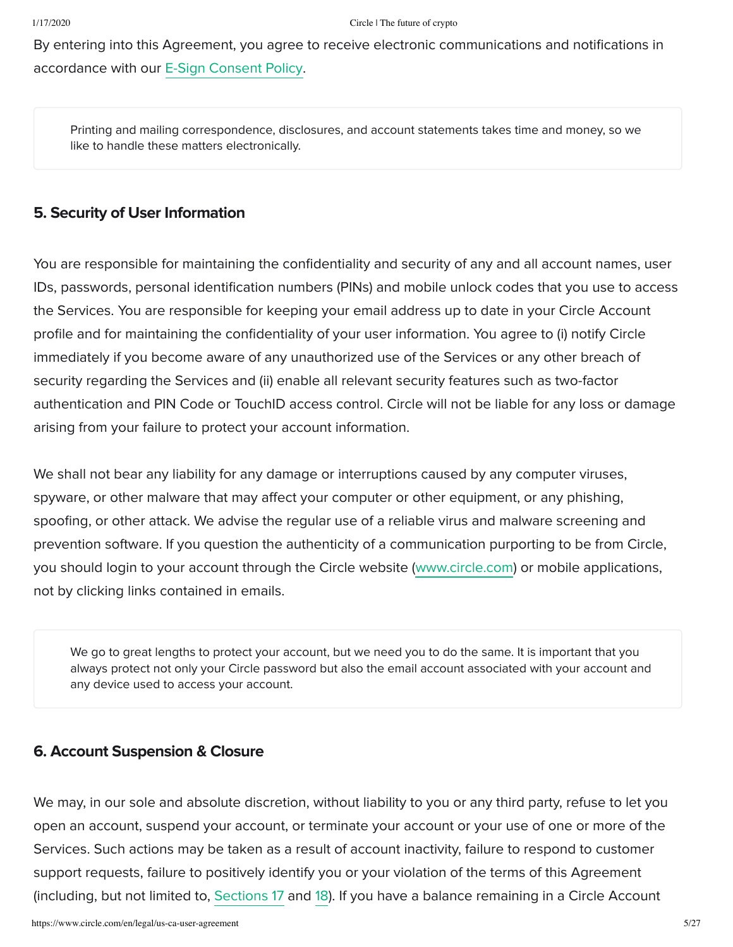By entering into this Agreement, you agree to receive electronic communications and notifications in accordance with our [E-Sign Consent Policy.](https://www.circle.com/en/legal/us-ca-esign)

Printing and mailing correspondence, disclosures, and account statements takes time and money, so we like to handle these matters electronically.

## 5. Security of User Information

You are responsible for maintaining the confidentiality and security of any and all account names, user IDs, passwords, personal identification numbers (PINs) and mobile unlock codes that you use to access the Services. You are responsible for keeping your email address up to date in your Circle Account profile and for maintaining the confidentiality of your user information. You agree to (i) notify Circle immediately if you become aware of any unauthorized use of the Services or any other breach of security regarding the Services and (ii) enable all relevant security features such as two-factor authentication and PIN Code or TouchID access control. Circle will not be liable for any loss or damage arising from your failure to protect your account information.

We shall not bear any liability for any damage or interruptions caused by any computer viruses, spyware, or other malware that may affect your computer or other equipment, or any phishing, spoofing, or other attack. We advise the regular use of a reliable virus and malware screening and prevention software. If you question the authenticity of a communication purporting to be from Circle, you should login to your account through the Circle website ([www.circle.com\)](https://www.circle.com/) or mobile applications, not by clicking links contained in emails.

We go to great lengths to protect your account, but we need you to do the same. It is important that you always protect not only your Circle password but also the email account associated with your account and any device used to access your account.

## 6. Account Suspension & Closure

We may, in our sole and absolute discretion, without liability to you or any third party, refuse to let you open an account, suspend your account, or terminate your account or your use of one or more of the Services. Such actions may be taken as a result of account inactivity, failure to respond to customer support requests, failure to positively identify you or your violation of the terms of this Agreement (including, but not limited to, Sections 17 and 18). If you have a balance remaining in a Circle Account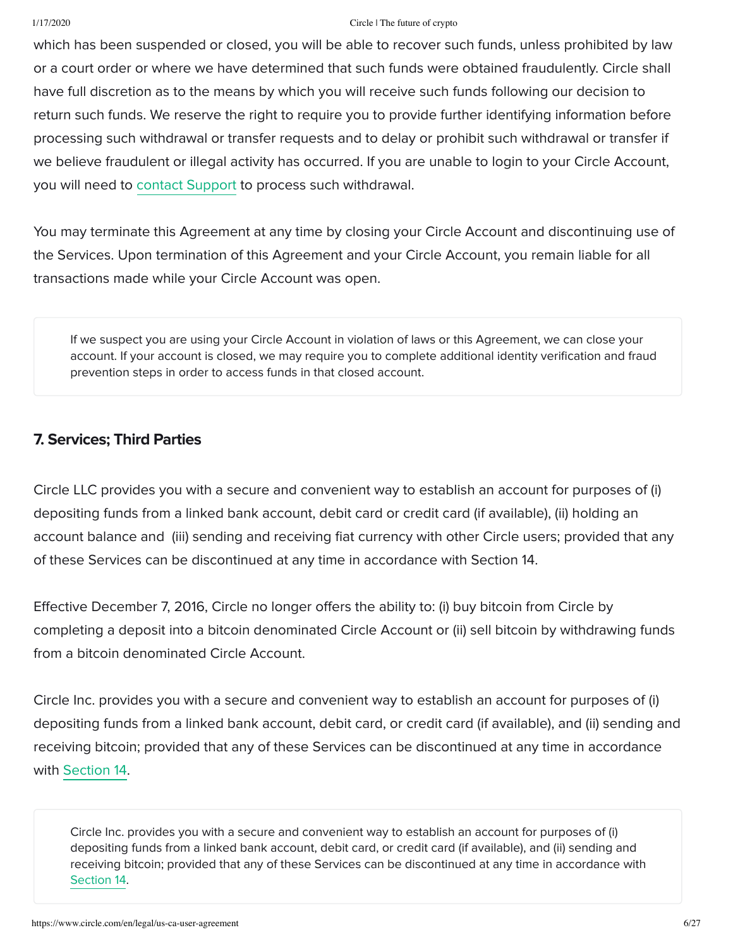which has been suspended or closed, you will be able to recover such funds, unless prohibited by law or a court order or where we have determined that such funds were obtained fraudulently. Circle shall have full discretion as to the means by which you will receive such funds following our decision to return such funds. We reserve the right to require you to provide further identifying information before processing such withdrawal or transfer requests and to delay or prohibit such withdrawal or transfer if we believe fraudulent or illegal activity has occurred. If you are unable to login to your Circle Account, you will need to [contact Support](https://support.circle.com/hc/en-us/requests/new) to process such withdrawal.

You may terminate this Agreement at any time by closing your Circle Account and discontinuing use of the Services. Upon termination of this Agreement and your Circle Account, you remain liable for all transactions made while your Circle Account was open.

If we suspect you are using your Circle Account in violation of laws or this Agreement, we can close your account. If your account is closed, we may require you to complete additional identity verification and fraud prevention steps in order to access funds in that closed account.

# 7. Services; Third Parties

Circle LLC provides you with a secure and convenient way to establish an account for purposes of (i) depositing funds from a linked bank account, debit card or credit card (if available), (ii) holding an account balance and (iii) sending and receiving fiat currency with other Circle users; provided that any of these Services can be discontinued at any time in accordance with Section 14.

Effective December 7, 2016, Circle no longer offers the ability to: (i) buy bitcoin from Circle by completing a deposit into a bitcoin denominated Circle Account or (ii) sell bitcoin by withdrawing funds from a bitcoin denominated Circle Account.

Circle Inc. provides you with a secure and convenient way to establish an account for purposes of (i) depositing funds from a linked bank account, debit card, or credit card (if available), and (ii) sending and receiving bitcoin; provided that any of these Services can be discontinued at any time in accordance with Section 14.

Circle Inc. provides you with a secure and convenient way to establish an account for purposes of (i) depositing funds from a linked bank account, debit card, or credit card (if available), and (ii) sending and receiving bitcoin; provided that any of these Services can be discontinued at any time in accordance with Section 14.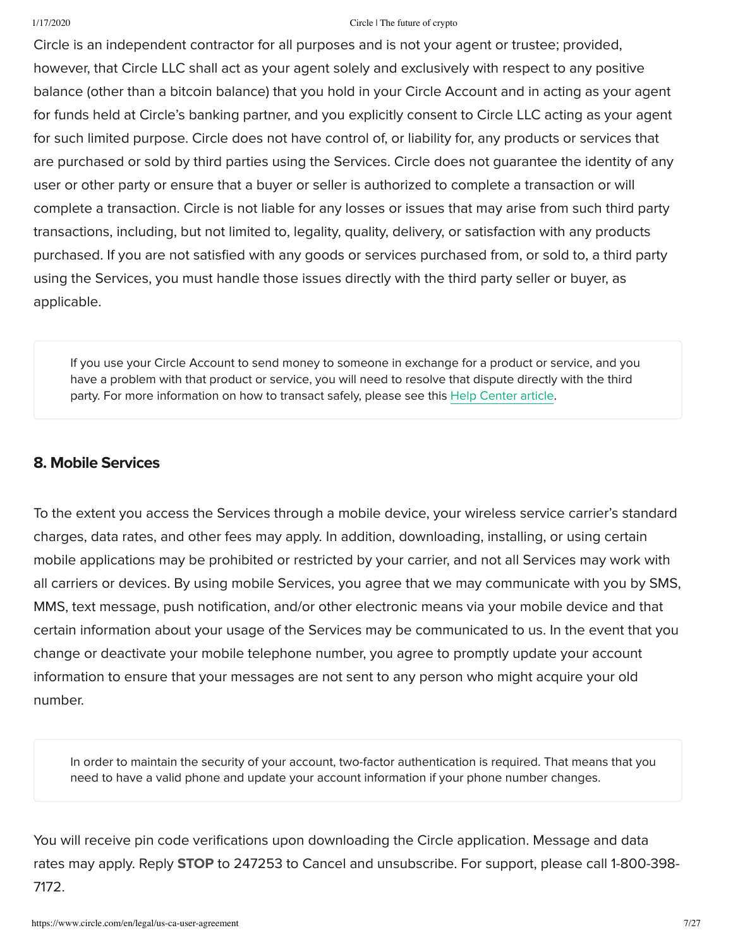Circle is an independent contractor for all purposes and is not your agent or trustee; provided, however, that Circle LLC shall act as your agent solely and exclusively with respect to any positive balance (other than a bitcoin balance) that you hold in your Circle Account and in acting as your agent for funds held at Circle's banking partner, and you explicitly consent to Circle LLC acting as your agent for such limited purpose. Circle does not have control of, or liability for, any products or services that are purchased or sold by third parties using the Services. Circle does not guarantee the identity of any user or other party or ensure that a buyer or seller is authorized to complete a transaction or will complete a transaction. Circle is not liable for any losses or issues that may arise from such third party transactions, including, but not limited to, legality, quality, delivery, or satisfaction with any products purchased. If you are not satisfied with any goods or services purchased from, or sold to, a third party using the Services, you must handle those issues directly with the third party seller or buyer, as applicable.

If you use your Circle Account to send money to someone in exchange for a product or service, and you have a problem with that product or service, you will need to resolve that dispute directly with the third party. For more information on how to transact safely, please see this [Help Center article.](https://support.circle.com/hc/en-us/articles/213560683--Tips-on-sending-money-safely-)

# 8. Mobile Services

To the extent you access the Services through a mobile device, your wireless service carrier's standard charges, data rates, and other fees may apply. In addition, downloading, installing, or using certain mobile applications may be prohibited or restricted by your carrier, and not all Services may work with all carriers or devices. By using mobile Services, you agree that we may communicate with you by SMS, MMS, text message, push notification, and/or other electronic means via your mobile device and that certain information about your usage of the Services may be communicated to us. In the event that you change or deactivate your mobile telephone number, you agree to promptly update your account information to ensure that your messages are not sent to any person who might acquire your old number.

In order to maintain the security of your account, two-factor authentication is required. That means that you need to have a valid phone and update your account information if your phone number changes.

You will receive pin code verifications upon downloading the Circle application. Message and data rates may apply. Reply **STOP** to 247253 to Cancel and unsubscribe. For support, please call 1-800-398-7172.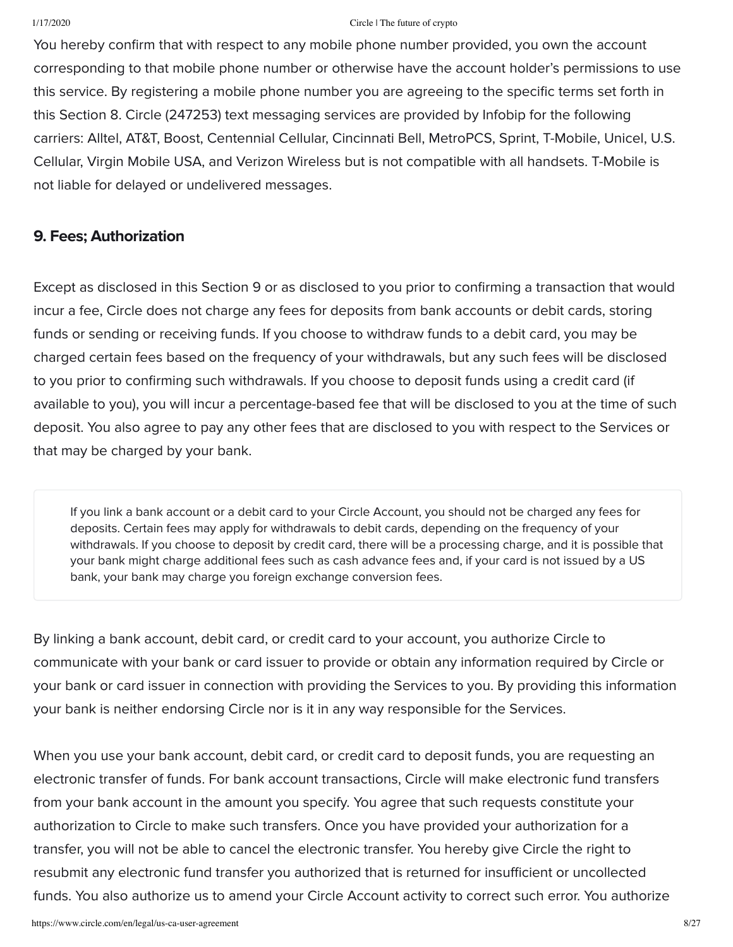You hereby confirm that with respect to any mobile phone number provided, you own the account corresponding to that mobile phone number or otherwise have the account holder's permissions to use this service. By registering a mobile phone number you are agreeing to the specific terms set forth in this Section 8. Circle (247253) text messaging services are provided by Infobip for the following carriers: Alltel, AT&T, Boost, Centennial Cellular, Cincinnati Bell, MetroPCS, Sprint, T-Mobile, Unicel, U.S. Cellular, Virgin Mobile USA, and Verizon Wireless but is not compatible with all handsets. T-Mobile is not liable for delayed or undelivered messages.

## 9. Fees; Authorization

Except as disclosed in this Section 9 or as disclosed to you prior to confirming a transaction that would incur a fee, Circle does not charge any fees for deposits from bank accounts or debit cards, storing funds or sending or receiving funds. If you choose to withdraw funds to a debit card, you may be charged certain fees based on the frequency of your withdrawals, but any such fees will be disclosed to you prior to confirming such withdrawals. If you choose to deposit funds using a credit card (if available to you), you will incur a percentage-based fee that will be disclosed to you at the time of such deposit. You also agree to pay any other fees that are disclosed to you with respect to the Services or that may be charged by your bank.

If you link a bank account or a debit card to your Circle Account, you should not be charged any fees for deposits. Certain fees may apply for withdrawals to debit cards, depending on the frequency of your withdrawals. If you choose to deposit by credit card, there will be a processing charge, and it is possible that your bank might charge additional fees such as cash advance fees and, if your card is not issued by a US bank, your bank may charge you foreign exchange conversion fees.

By linking a bank account, debit card, or credit card to your account, you authorize Circle to communicate with your bank or card issuer to provide or obtain any information required by Circle or your bank or card issuer in connection with providing the Services to you. By providing this information your bank is neither endorsing Circle nor is it in any way responsible for the Services.

When you use your bank account, debit card, or credit card to deposit funds, you are requesting an electronic transfer of funds. For bank account transactions, Circle will make electronic fund transfers from your bank account in the amount you specify. You agree that such requests constitute your authorization to Circle to make such transfers. Once you have provided your authorization for a transfer, you will not be able to cancel the electronic transfer. You hereby give Circle the right to resubmit any electronic fund transfer you authorized that is returned for insufficient or uncollected funds. You also authorize us to amend your Circle Account activity to correct such error. You authorize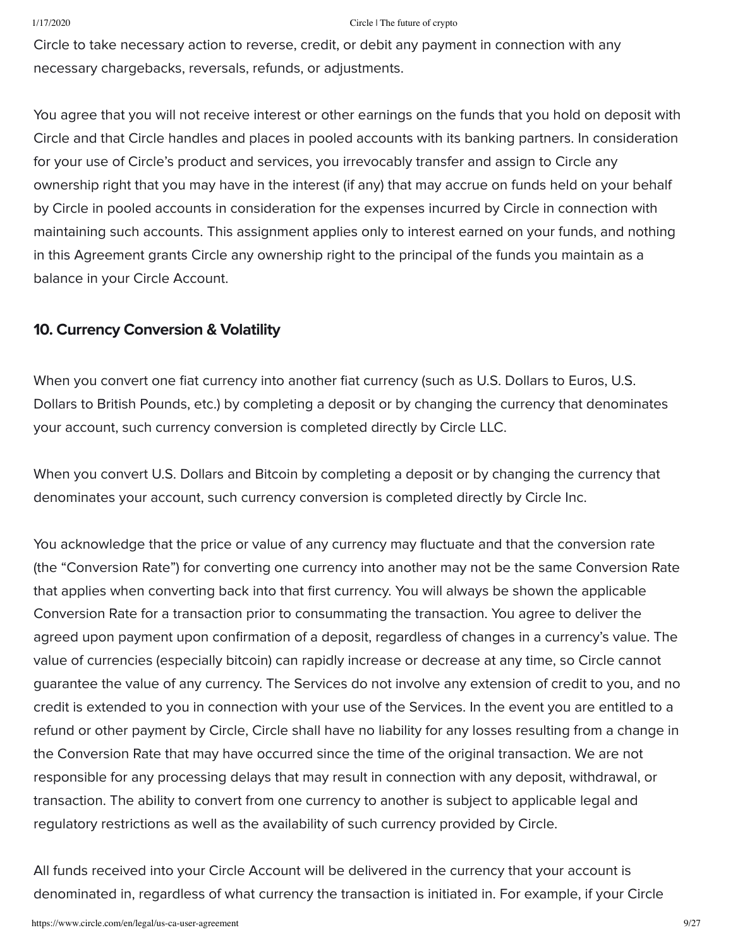Circle to take necessary action to reverse, credit, or debit any payment in connection with any necessary chargebacks, reversals, refunds, or adjustments.

You agree that you will not receive interest or other earnings on the funds that you hold on deposit with Circle and that Circle handles and places in pooled accounts with its banking partners. In consideration for your use of Circle's product and services, you irrevocably transfer and assign to Circle any ownership right that you may have in the interest (if any) that may accrue on funds held on your behalf by Circle in pooled accounts in consideration for the expenses incurred by Circle in connection with maintaining such accounts. This assignment applies only to interest earned on your funds, and nothing in this Agreement grants Circle any ownership right to the principal of the funds you maintain as a balance in your Circle Account.

## 10. Currency Conversion & Volatility

When you convert one fiat currency into another fiat currency (such as U.S. Dollars to Euros, U.S. Dollars to British Pounds, etc.) by completing a deposit or by changing the currency that denominates your account, such currency conversion is completed directly by Circle LLC.

When you convert U.S. Dollars and Bitcoin by completing a deposit or by changing the currency that denominates your account, such currency conversion is completed directly by Circle Inc.

You acknowledge that the price or value of any currency may fluctuate and that the conversion rate (the "Conversion Rate") for converting one currency into another may not be the same Conversion Rate that applies when converting back into that first currency. You will always be shown the applicable Conversion Rate for a transaction prior to consummating the transaction. You agree to deliver the agreed upon payment upon confirmation of a deposit, regardless of changes in a currency's value. The value of currencies (especially bitcoin) can rapidly increase or decrease at any time, so Circle cannot guarantee the value of any currency. The Services do not involve any extension of credit to you, and no credit is extended to you in connection with your use of the Services. In the event you are entitled to a refund or other payment by Circle, Circle shall have no liability for any losses resulting from a change in the Conversion Rate that may have occurred since the time of the original transaction. We are not responsible for any processing delays that may result in connection with any deposit, withdrawal, or transaction. The ability to convert from one currency to another is subject to applicable legal and regulatory restrictions as well as the availability of such currency provided by Circle.

All funds received into your Circle Account will be delivered in the currency that your account is denominated in, regardless of what currency the transaction is initiated in. For example, if your Circle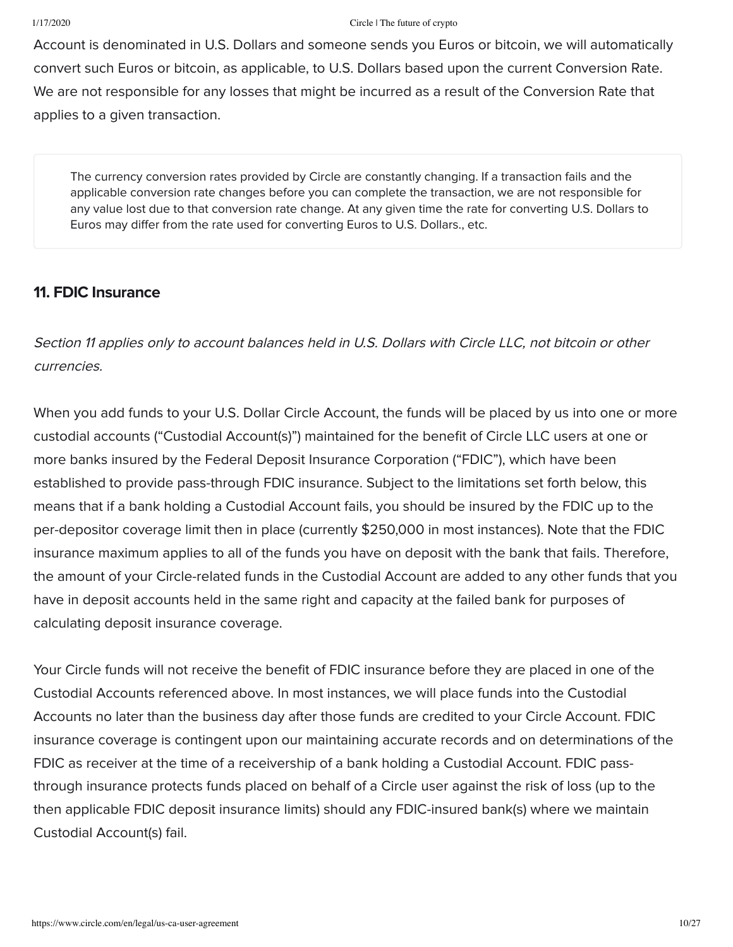Account is denominated in U.S. Dollars and someone sends you Euros or bitcoin, we will automatically convert such Euros or bitcoin, as applicable, to U.S. Dollars based upon the current Conversion Rate. We are not responsible for any losses that might be incurred as a result of the Conversion Rate that applies to a given transaction.

The currency conversion rates provided by Circle are constantly changing. If a transaction fails and the applicable conversion rate changes before you can complete the transaction, we are not responsible for any value lost due to that conversion rate change. At any given time the rate for converting U.S. Dollars to Euros may differ from the rate used for converting Euros to U.S. Dollars., etc.

## 11. FDIC Insurance

Section 11 applies only to account balances held in U.S. Dollars with Circle LLC, not bitcoin or other currencies.

When you add funds to your U.S. Dollar Circle Account, the funds will be placed by us into one or more custodial accounts ("Custodial Account(s)") maintained for the benefit of Circle LLC users at one or more banks insured by the Federal Deposit Insurance Corporation ("FDIC"), which have been established to provide pass-through FDIC insurance. Subject to the limitations set forth below, this means that if a bank holding a Custodial Account fails, you should be insured by the FDIC up to the per-depositor coverage limit then in place (currently \$250,000 in most instances). Note that the FDIC insurance maximum applies to all of the funds you have on deposit with the bank that fails. Therefore, the amount of your Circle-related funds in the Custodial Account are added to any other funds that you have in deposit accounts held in the same right and capacity at the failed bank for purposes of calculating deposit insurance coverage.

Your Circle funds will not receive the benefit of FDIC insurance before they are placed in one of the Custodial Accounts referenced above. In most instances, we will place funds into the Custodial Accounts no later than the business day after those funds are credited to your Circle Account. FDIC insurance coverage is contingent upon our maintaining accurate records and on determinations of the FDIC as receiver at the time of a receivership of a bank holding a Custodial Account. FDIC passthrough insurance protects funds placed on behalf of a Circle user against the risk of loss (up to the then applicable FDIC deposit insurance limits) should any FDIC-insured bank(s) where we maintain Custodial Account(s) fail.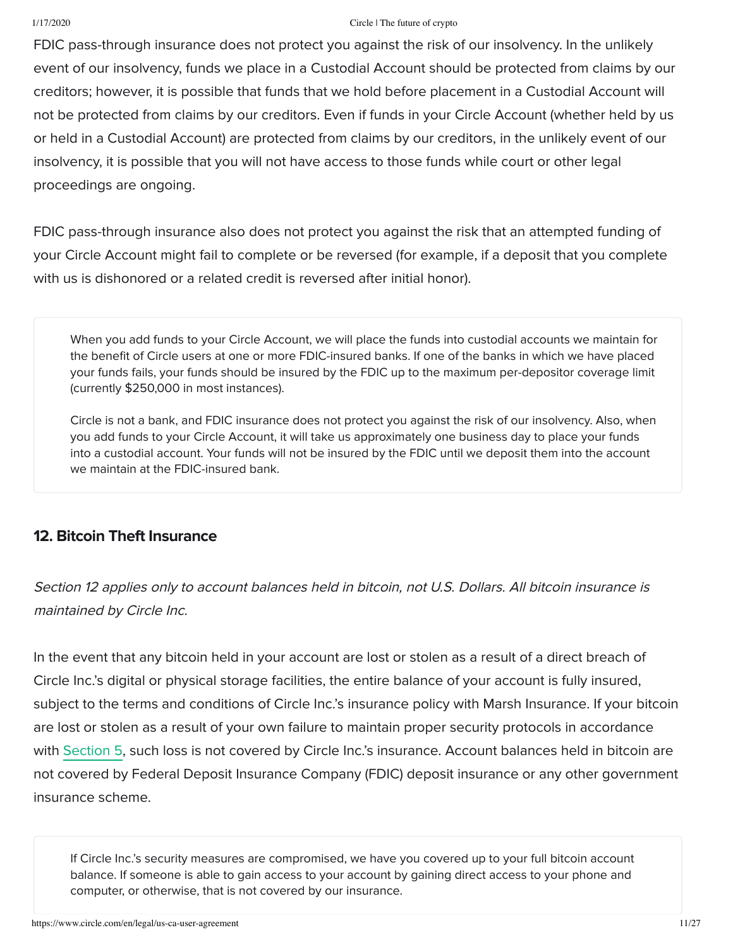FDIC pass-through insurance does not protect you against the risk of our insolvency. In the unlikely event of our insolvency, funds we place in a Custodial Account should be protected from claims by our creditors; however, it is possible that funds that we hold before placement in a Custodial Account will not be protected from claims by our creditors. Even if funds in your Circle Account (whether held by us or held in a Custodial Account) are protected from claims by our creditors, in the unlikely event of our insolvency, it is possible that you will not have access to those funds while court or other legal proceedings are ongoing.

FDIC pass-through insurance also does not protect you against the risk that an attempted funding of your Circle Account might fail to complete or be reversed (for example, if a deposit that you complete with us is dishonored or a related credit is reversed after initial honor).

When you add funds to your Circle Account, we will place the funds into custodial accounts we maintain for the benefit of Circle users at one or more FDIC-insured banks. If one of the banks in which we have placed your funds fails, your funds should be insured by the FDIC up to the maximum per-depositor coverage limit (currently \$250,000 in most instances).

Circle is not a bank, and FDIC insurance does not protect you against the risk of our insolvency. Also, when you add funds to your Circle Account, it will take us approximately one business day to place your funds into a custodial account. Your funds will not be insured by the FDIC until we deposit them into the account we maintain at the FDIC-insured bank.

# 12. Bitcoin Theft Insurance

Section 12 applies only to account balances held in bitcoin, not U.S. Dollars. All bitcoin insurance is maintained by Circle Inc.

In the event that any bitcoin held in your account are lost or stolen as a result of a direct breach of Circle Inc.'s digital or physical storage facilities, the entire balance of your account is fully insured, subject to the terms and conditions of Circle Inc.'s insurance policy with Marsh Insurance. If your bitcoin are lost or stolen as a result of your own failure to maintain proper security protocols in accordance with Section 5, such loss is not covered by Circle Inc.'s insurance. Account balances held in bitcoin are not covered by Federal Deposit Insurance Company (FDIC) deposit insurance or any other government insurance scheme.

If Circle Inc.'s security measures are compromised, we have you covered up to your full bitcoin account balance. If someone is able to gain access to your account by gaining direct access to your phone and computer, or otherwise, that is not covered by our insurance.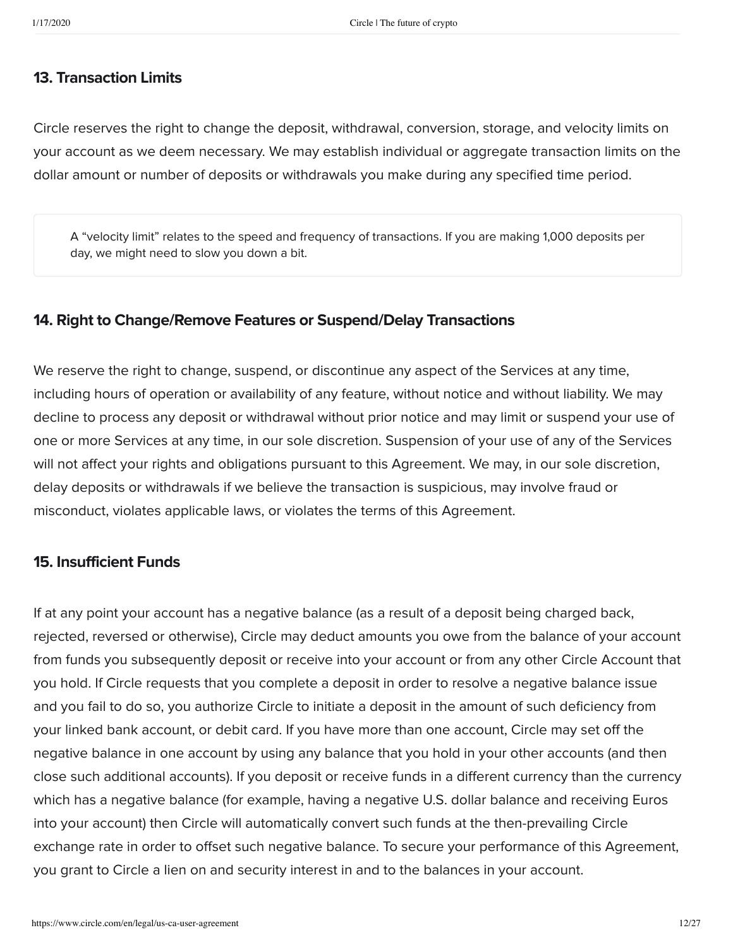### 13. Transaction Limits

Circle reserves the right to change the deposit, withdrawal, conversion, storage, and velocity limits on your account as we deem necessary. We may establish individual or aggregate transaction limits on the dollar amount or number of deposits or withdrawals you make during any specified time period.

A "velocity limit" relates to the speed and frequency of transactions. If you are making 1,000 deposits per day, we might need to slow you down a bit.

## 14. Right to Change/Remove Features or Suspend/Delay Transactions

We reserve the right to change, suspend, or discontinue any aspect of the Services at any time, including hours of operation or availability of any feature, without notice and without liability. We may decline to process any deposit or withdrawal without prior notice and may limit or suspend your use of one or more Services at any time, in our sole discretion. Suspension of your use of any of the Services will not affect your rights and obligations pursuant to this Agreement. We may, in our sole discretion, delay deposits or withdrawals if we believe the transaction is suspicious, may involve fraud or misconduct, violates applicable laws, or violates the terms of this Agreement.

### 15. Insufficient Funds

If at any point your account has a negative balance (as a result of a deposit being charged back, rejected, reversed or otherwise), Circle may deduct amounts you owe from the balance of your account from funds you subsequently deposit or receive into your account or from any other Circle Account that you hold. If Circle requests that you complete a deposit in order to resolve a negative balance issue and you fail to do so, you authorize Circle to initiate a deposit in the amount of such deficiency from your linked bank account, or debit card. If you have more than one account, Circle may set off the negative balance in one account by using any balance that you hold in your other accounts (and then close such additional accounts). If you deposit or receive funds in a different currency than the currency which has a negative balance (for example, having a negative U.S. dollar balance and receiving Euros into your account) then Circle will automatically convert such funds at the then-prevailing Circle exchange rate in order to offset such negative balance. To secure your performance of this Agreement, you grant to Circle a lien on and security interest in and to the balances in your account.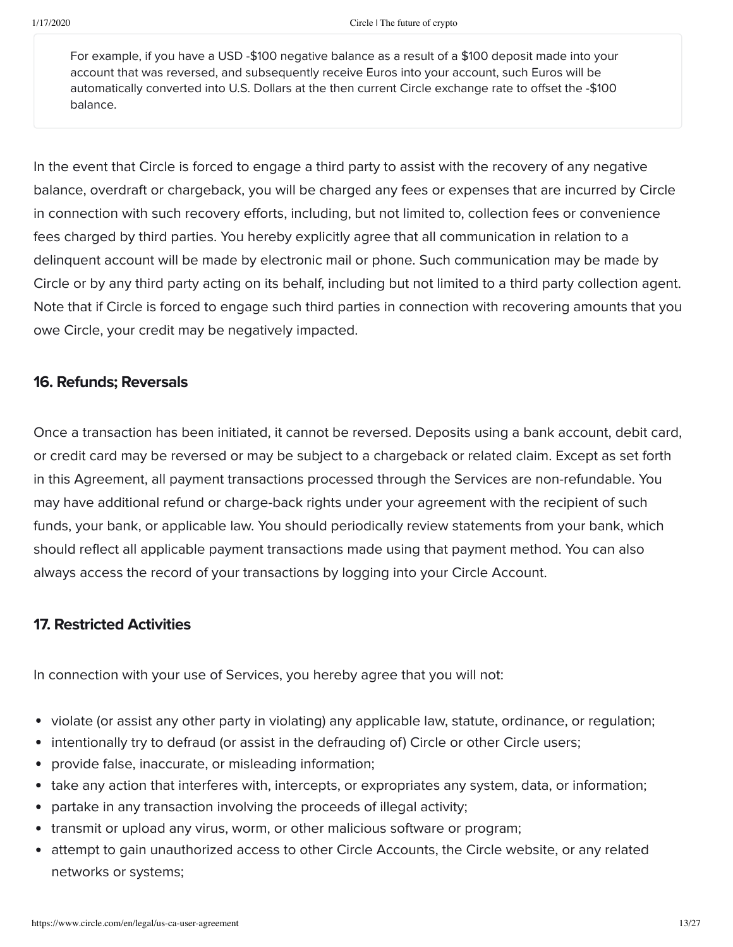For example, if you have a USD -\$100 negative balance as a result of a \$100 deposit made into your account that was reversed, and subsequently receive Euros into your account, such Euros will be automatically converted into U.S. Dollars at the then current Circle exchange rate to offset the -\$100 balance.

In the event that Circle is forced to engage a third party to assist with the recovery of any negative balance, overdraft or chargeback, you will be charged any fees or expenses that are incurred by Circle in connection with such recovery efforts, including, but not limited to, collection fees or convenience fees charged by third parties. You hereby explicitly agree that all communication in relation to a delinquent account will be made by electronic mail or phone. Such communication may be made by Circle or by any third party acting on its behalf, including but not limited to a third party collection agent. Note that if Circle is forced to engage such third parties in connection with recovering amounts that you owe Circle, your credit may be negatively impacted.

## 16. Refunds; Reversals

Once a transaction has been initiated, it cannot be reversed. Deposits using a bank account, debit card, or credit card may be reversed or may be subject to a chargeback or related claim. Except as set forth in this Agreement, all payment transactions processed through the Services are non-refundable. You may have additional refund or charge-back rights under your agreement with the recipient of such funds, your bank, or applicable law. You should periodically review statements from your bank, which should reflect all applicable payment transactions made using that payment method. You can also always access the record of your transactions by logging into your Circle Account.

# 17. Restricted Activities

In connection with your use of Services, you hereby agree that you will not:

- violate (or assist any other party in violating) any applicable law, statute, ordinance, or regulation;  $\bullet$
- intentionally try to defraud (or assist in the defrauding of) Circle or other Circle users;  $\bullet$
- provide false, inaccurate, or misleading information;  $\bullet$
- take any action that interferes with, intercepts, or expropriates any system, data, or information;  $\bullet$
- partake in any transaction involving the proceeds of illegal activity;  $\bullet$
- transmit or upload any virus, worm, or other malicious software or program;  $\bullet$
- attempt to gain unauthorized access to other Circle Accounts, the Circle website, or any related  $\bullet$ networks or systems;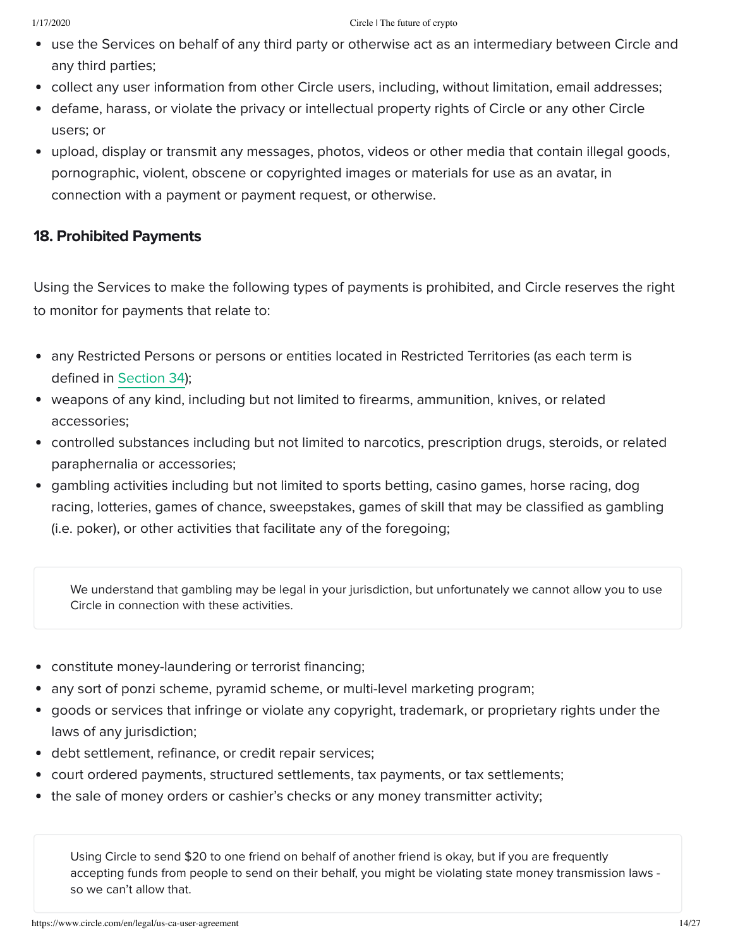- use the Services on behalf of any third party or otherwise act as an intermediary between Circle and any third parties;
- collect any user information from other Circle users, including, without limitation, email addresses;
- defame, harass, or violate the privacy or intellectual property rights of Circle or any other Circle users; or
- upload, display or transmit any messages, photos, videos or other media that contain illegal goods, pornographic, violent, obscene or copyrighted images or materials for use as an avatar, in connection with a payment or payment request, or otherwise.

# 18. Prohibited Payments

Using the Services to make the following types of payments is prohibited, and Circle reserves the right to monitor for payments that relate to:

- any Restricted Persons or persons or entities located in Restricted Territories (as each term is defined in Section 34);
- weapons of any kind, including but not limited to firearms, ammunition, knives, or related accessories;
- controlled substances including but not limited to narcotics, prescription drugs, steroids, or related paraphernalia or accessories;
- gambling activities including but not limited to sports betting, casino games, horse racing, dog  $\bullet$ racing, lotteries, games of chance, sweepstakes, games of skill that may be classified as gambling (i.e. poker), or other activities that facilitate any of the foregoing;

We understand that gambling may be legal in your jurisdiction, but unfortunately we cannot allow you to use Circle in connection with these activities.

- constitute money-laundering or terrorist financing;
- any sort of ponzi scheme, pyramid scheme, or multi-level marketing program;
- goods or services that infringe or violate any copyright, trademark, or proprietary rights under the laws of any jurisdiction;
- debt settlement, refinance, or credit repair services;
- court ordered payments, structured settlements, tax payments, or tax settlements;
- the sale of money orders or cashier's checks or any money transmitter activity;

Using Circle to send \$20 to one friend on behalf of another friend is okay, but if you are frequently accepting funds from people to send on their behalf, you might be violating state money transmission laws so we can't allow that.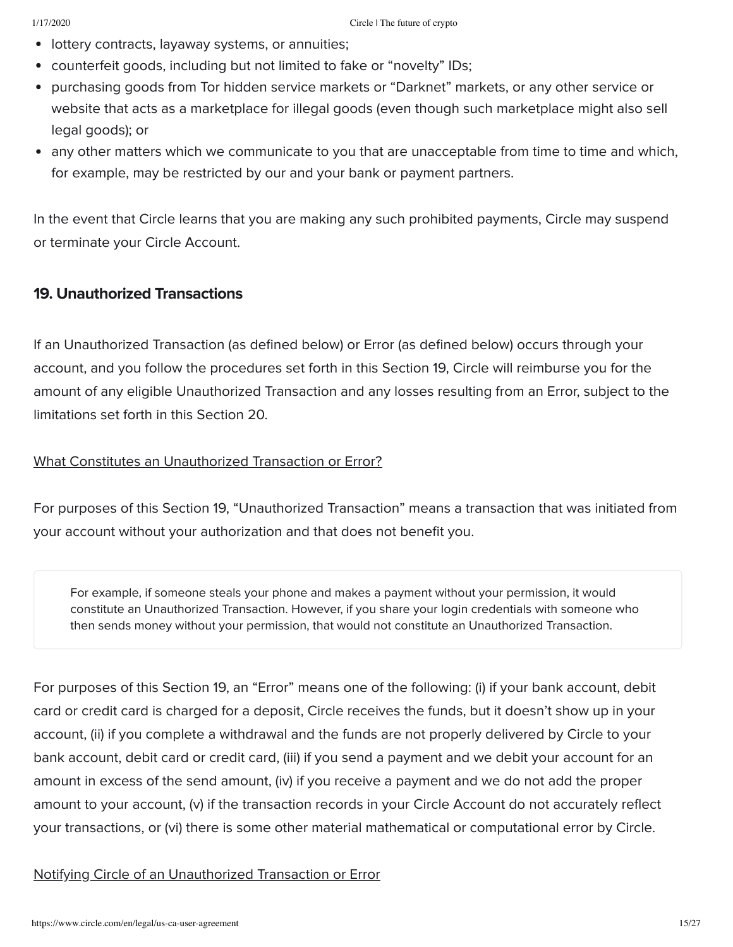- **•** lottery contracts, layaway systems, or annuities;
- counterfeit goods, including but not limited to fake or "novelty" IDs;  $\bullet$
- purchasing goods from Tor hidden service markets or "Darknet" markets, or any other service or website that acts as a marketplace for illegal goods (even though such marketplace might also sell legal goods); or
- any other matters which we communicate to you that are unacceptable from time to time and which, for example, may be restricted by our and your bank or payment partners.

In the event that Circle learns that you are making any such prohibited payments, Circle may suspend or terminate your Circle Account.

## 19. Unauthorized Transactions

If an Unauthorized Transaction (as defined below) or Error (as defined below) occurs through your account, and you follow the procedures set forth in this Section 19, Circle will reimburse you for the amount of any eligible Unauthorized Transaction and any losses resulting from an Error, subject to the limitations set forth in this Section 20.

## What Constitutes an Unauthorized Transaction or Error?

For purposes of this Section 19, "Unauthorized Transaction" means a transaction that was initiated from your account without your authorization and that does not benefit you.

For example, if someone steals your phone and makes a payment without your permission, it would constitute an Unauthorized Transaction. However, if you share your login credentials with someone who then sends money without your permission, that would not constitute an Unauthorized Transaction.

For purposes of this Section 19, an "Error" means one of the following: (i) if your bank account, debit card or credit card is charged for a deposit, Circle receives the funds, but it doesn't show up in your account, (ii) if you complete a withdrawal and the funds are not properly delivered by Circle to your bank account, debit card or credit card, (iii) if you send a payment and we debit your account for an amount in excess of the send amount, (iv) if you receive a payment and we do not add the proper amount to your account, (v) if the transaction records in your Circle Account do not accurately reflect your transactions, or (vi) there is some other material mathematical or computational error by Circle.

Notifying Circle of an Unauthorized Transaction or Error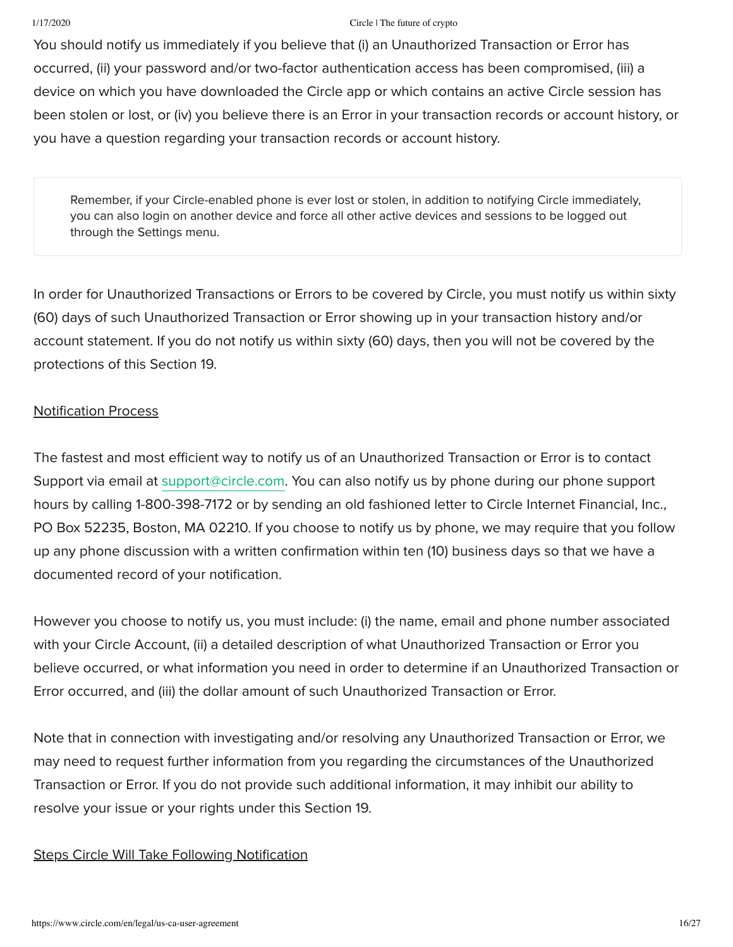You should notify us immediately if you believe that (i) an Unauthorized Transaction or Error has occurred, (ii) your password and/or two-factor authentication access has been compromised, (iii) a device on which you have downloaded the Circle app or which contains an active Circle session has been stolen or lost, or (iv) you believe there is an Error in your transaction records or account history, or you have a question regarding your transaction records or account history.

Remember, if your Circle-enabled phone is ever lost or stolen, in addition to notifying Circle immediately, you can also login on another device and force all other active devices and sessions to be logged out through the Settings menu.

In order for Unauthorized Transactions or Errors to be covered by Circle, you must notify us within sixty (60) days of such Unauthorized Transaction or Error showing up in your transaction history and/or account statement. If you do not notify us within sixty (60) days, then you will not be covered by the protections of this Section 19.

## Notification Process

The fastest and most efficient way to notify us of an Unauthorized Transaction or Error is to contact Support via email at [support@circle.com.](mailto:support@circle.com) You can also notify us by phone during our phone support hours by calling 1-800-398-7172 or by sending an old fashioned letter to Circle Internet Financial, Inc., PO Box 52235, Boston, MA 02210. If you choose to notify us by phone, we may require that you follow up any phone discussion with a written confirmation within ten (10) business days so that we have a documented record of your notification.

However you choose to notify us, you must include: (i) the name, email and phone number associated with your Circle Account, (ii) a detailed description of what Unauthorized Transaction or Error you believe occurred, or what information you need in order to determine if an Unauthorized Transaction or Error occurred, and (iii) the dollar amount of such Unauthorized Transaction or Error.

Note that in connection with investigating and/or resolving any Unauthorized Transaction or Error, we may need to request further information from you regarding the circumstances of the Unauthorized Transaction or Error. If you do not provide such additional information, it may inhibit our ability to resolve your issue or your rights under this Section 19.

## Steps Circle Will Take Following Notification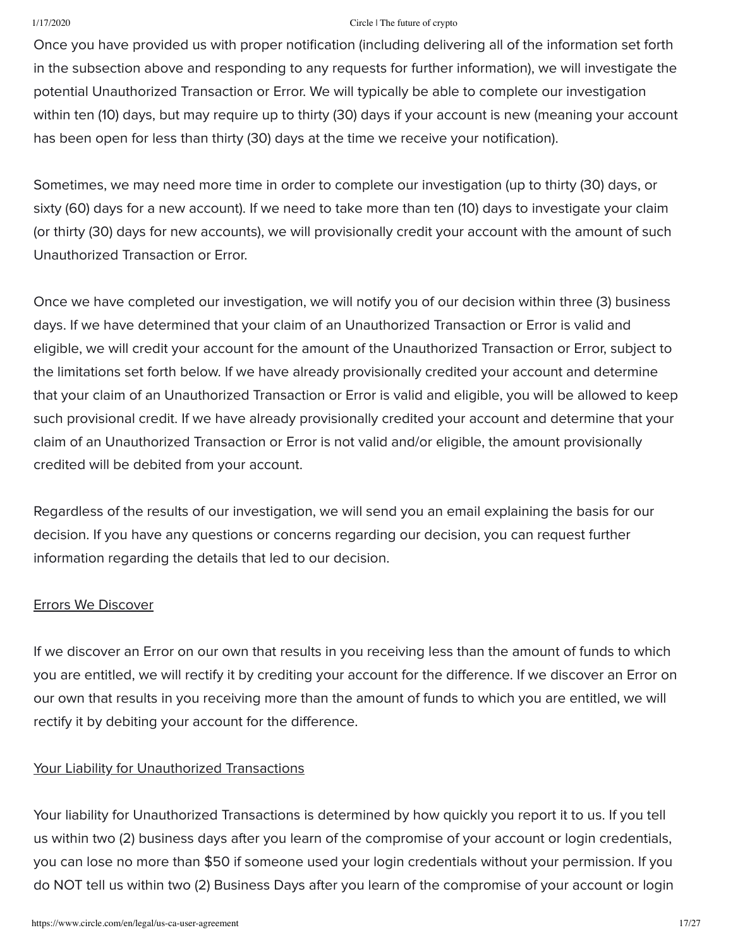Once you have provided us with proper notification (including delivering all of the information set forth in the subsection above and responding to any requests for further information), we will investigate the potential Unauthorized Transaction or Error. We will typically be able to complete our investigation within ten (10) days, but may require up to thirty (30) days if your account is new (meaning your account has been open for less than thirty (30) days at the time we receive your notification).

Sometimes, we may need more time in order to complete our investigation (up to thirty (30) days, or sixty (60) days for a new account). If we need to take more than ten (10) days to investigate your claim (or thirty (30) days for new accounts), we will provisionally credit your account with the amount of such Unauthorized Transaction or Error.

Once we have completed our investigation, we will notify you of our decision within three (3) business days. If we have determined that your claim of an Unauthorized Transaction or Error is valid and eligible, we will credit your account for the amount of the Unauthorized Transaction or Error, subject to the limitations set forth below. If we have already provisionally credited your account and determine that your claim of an Unauthorized Transaction or Error is valid and eligible, you will be allowed to keep such provisional credit. If we have already provisionally credited your account and determine that your claim of an Unauthorized Transaction or Error is not valid and/or eligible, the amount provisionally credited will be debited from your account.

Regardless of the results of our investigation, we will send you an email explaining the basis for our decision. If you have any questions or concerns regarding our decision, you can request further information regarding the details that led to our decision.

### Errors We Discover

If we discover an Error on our own that results in you receiving less than the amount of funds to which you are entitled, we will rectify it by crediting your account for the difference. If we discover an Error on our own that results in you receiving more than the amount of funds to which you are entitled, we will rectify it by debiting your account for the difference.

## Your Liability for Unauthorized Transactions

Your liability for Unauthorized Transactions is determined by how quickly you report it to us. If you tell us within two (2) business days after you learn of the compromise of your account or login credentials, you can lose no more than \$50 if someone used your login credentials without your permission. If you do NOT tell us within two (2) Business Days after you learn of the compromise of your account or login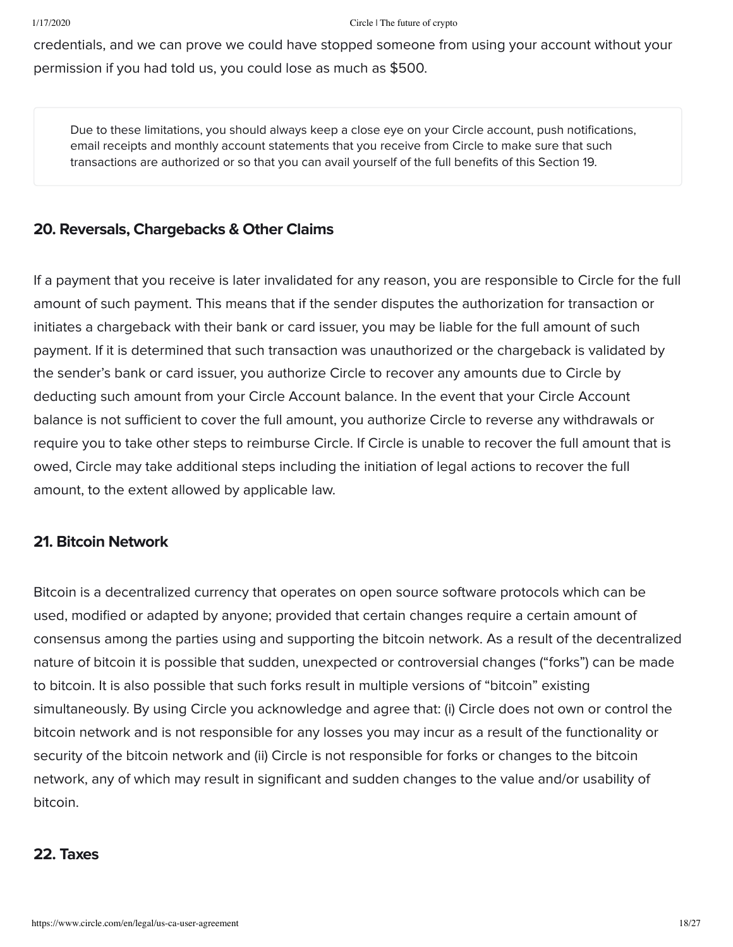credentials, and we can prove we could have stopped someone from using your account without your permission if you had told us, you could lose as much as \$500.

Due to these limitations, you should always keep a close eye on your Circle account, push notifications, email receipts and monthly account statements that you receive from Circle to make sure that such transactions are authorized or so that you can avail yourself of the full benefits of this Section 19.

# 20. Reversals, Chargebacks & Other Claims

If a payment that you receive is later invalidated for any reason, you are responsible to Circle for the full amount of such payment. This means that if the sender disputes the authorization for transaction or initiates a chargeback with their bank or card issuer, you may be liable for the full amount of such payment. If it is determined that such transaction was unauthorized or the chargeback is validated by the sender's bank or card issuer, you authorize Circle to recover any amounts due to Circle by deducting such amount from your Circle Account balance. In the event that your Circle Account balance is not sufficient to cover the full amount, you authorize Circle to reverse any withdrawals or require you to take other steps to reimburse Circle. If Circle is unable to recover the full amount that is owed, Circle may take additional steps including the initiation of legal actions to recover the full amount, to the extent allowed by applicable law.

# 21. Bitcoin Network

Bitcoin is a decentralized currency that operates on open source software protocols which can be used, modified or adapted by anyone; provided that certain changes require a certain amount of consensus among the parties using and supporting the bitcoin network. As a result of the decentralized nature of bitcoin it is possible that sudden, unexpected or controversial changes ("forks") can be made to bitcoin. It is also possible that such forks result in multiple versions of "bitcoin" existing simultaneously. By using Circle you acknowledge and agree that: (i) Circle does not own or control the bitcoin network and is not responsible for any losses you may incur as a result of the functionality or security of the bitcoin network and (ii) Circle is not responsible for forks or changes to the bitcoin network, any of which may result in significant and sudden changes to the value and/or usability of bitcoin.

## 22. Taxes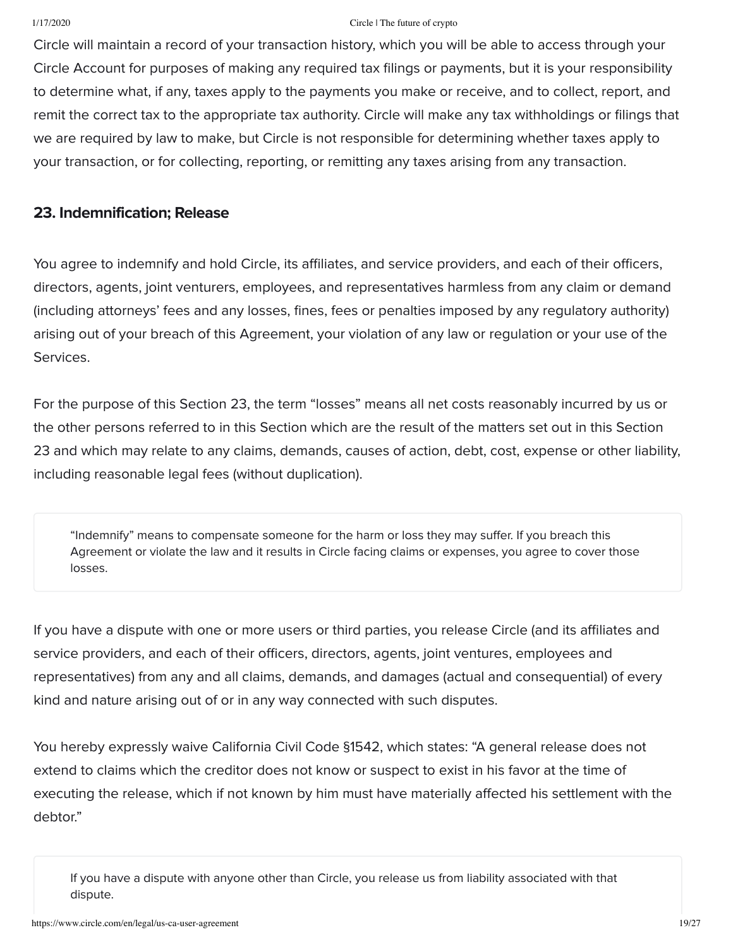Circle will maintain a record of your transaction history, which you will be able to access through your Circle Account for purposes of making any required tax filings or payments, but it is your responsibility to determine what, if any, taxes apply to the payments you make or receive, and to collect, report, and remit the correct tax to the appropriate tax authority. Circle will make any tax withholdings or filings that we are required by law to make, but Circle is not responsible for determining whether taxes apply to your transaction, or for collecting, reporting, or remitting any taxes arising from any transaction.

### 23. Indemnification; Release

You agree to indemnify and hold Circle, its affiliates, and service providers, and each of their officers, directors, agents, joint venturers, employees, and representatives harmless from any claim or demand (including attorneys' fees and any losses, fines, fees or penalties imposed by any regulatory authority) arising out of your breach of this Agreement, your violation of any law or regulation or your use of the Services.

For the purpose of this Section 23, the term "losses" means all net costs reasonably incurred by us or the other persons referred to in this Section which are the result of the matters set out in this Section 23 and which may relate to any claims, demands, causes of action, debt, cost, expense or other liability, including reasonable legal fees (without duplication).

"Indemnify" means to compensate someone for the harm or loss they may suffer. If you breach this Agreement or violate the law and it results in Circle facing claims or expenses, you agree to cover those losses.

If you have a dispute with one or more users or third parties, you release Circle (and its affiliates and service providers, and each of their officers, directors, agents, joint ventures, employees and representatives) from any and all claims, demands, and damages (actual and consequential) of every kind and nature arising out of or in any way connected with such disputes.

You hereby expressly waive California Civil Code §1542, which states: "A general release does not extend to claims which the creditor does not know or suspect to exist in his favor at the time of executing the release, which if not known by him must have materially affected his settlement with the debtor."

If you have a dispute with anyone other than Circle, you release us from liability associated with that dispute.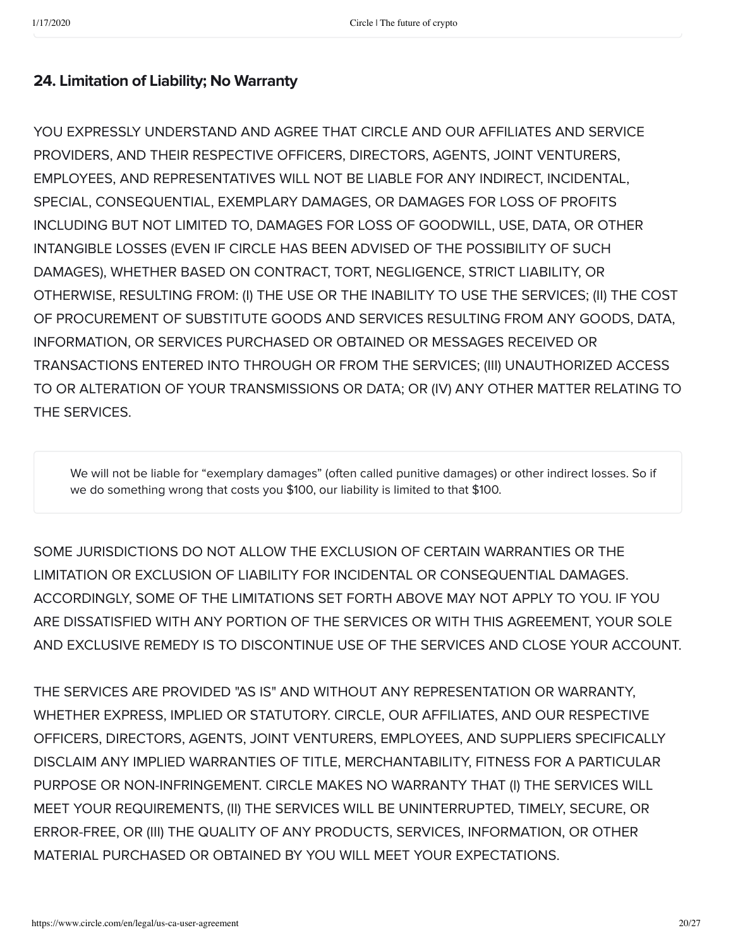# 24. Limitation of Liability; No Warranty

YOU EXPRESSLY UNDERSTAND AND AGREE THAT CIRCLE AND OUR AFFILIATES AND SERVICE PROVIDERS, AND THEIR RESPECTIVE OFFICERS, DIRECTORS, AGENTS, JOINT VENTURERS, EMPLOYEES, AND REPRESENTATIVES WILL NOT BE LIABLE FOR ANY INDIRECT, INCIDENTAL, SPECIAL, CONSEQUENTIAL, EXEMPLARY DAMAGES, OR DAMAGES FOR LOSS OF PROFITS INCLUDING BUT NOT LIMITED TO, DAMAGES FOR LOSS OF GOODWILL, USE, DATA, OR OTHER INTANGIBLE LOSSES (EVEN IF CIRCLE HAS BEEN ADVISED OF THE POSSIBILITY OF SUCH DAMAGES), WHETHER BASED ON CONTRACT, TORT, NEGLIGENCE, STRICT LIABILITY, OR OTHERWISE, RESULTING FROM: (I) THE USE OR THE INABILITY TO USE THE SERVICES; (II) THE COST OF PROCUREMENT OF SUBSTITUTE GOODS AND SERVICES RESULTING FROM ANY GOODS, DATA, INFORMATION, OR SERVICES PURCHASED OR OBTAINED OR MESSAGES RECEIVED OR TRANSACTIONS ENTERED INTO THROUGH OR FROM THE SERVICES; (III) UNAUTHORIZED ACCESS TO OR ALTERATION OF YOUR TRANSMISSIONS OR DATA; OR (IV) ANY OTHER MATTER RELATING TO THE SERVICES.

We will not be liable for "exemplary damages" (often called punitive damages) or other indirect losses. So if we do something wrong that costs you \$100, our liability is limited to that \$100.

SOME JURISDICTIONS DO NOT ALLOW THE EXCLUSION OF CERTAIN WARRANTIES OR THE LIMITATION OR EXCLUSION OF LIABILITY FOR INCIDENTAL OR CONSEQUENTIAL DAMAGES. ACCORDINGLY, SOME OF THE LIMITATIONS SET FORTH ABOVE MAY NOT APPLY TO YOU. IF YOU ARE DISSATISFIED WITH ANY PORTION OF THE SERVICES OR WITH THIS AGREEMENT, YOUR SOLE AND EXCLUSIVE REMEDY IS TO DISCONTINUE USE OF THE SERVICES AND CLOSE YOUR ACCOUNT.

THE SERVICES ARE PROVIDED "AS IS" AND WITHOUT ANY REPRESENTATION OR WARRANTY, WHETHER EXPRESS, IMPLIED OR STATUTORY. CIRCLE, OUR AFFILIATES, AND OUR RESPECTIVE OFFICERS, DIRECTORS, AGENTS, JOINT VENTURERS, EMPLOYEES, AND SUPPLIERS SPECIFICALLY DISCLAIM ANY IMPLIED WARRANTIES OF TITLE, MERCHANTABILITY, FITNESS FOR A PARTICULAR PURPOSE OR NON-INFRINGEMENT. CIRCLE MAKES NO WARRANTY THAT (I) THE SERVICES WILL MEET YOUR REQUIREMENTS, (II) THE SERVICES WILL BE UNINTERRUPTED, TIMELY, SECURE, OR ERROR-FREE, OR (III) THE QUALITY OF ANY PRODUCTS, SERVICES, INFORMATION, OR OTHER MATERIAL PURCHASED OR OBTAINED BY YOU WILL MEET YOUR EXPECTATIONS.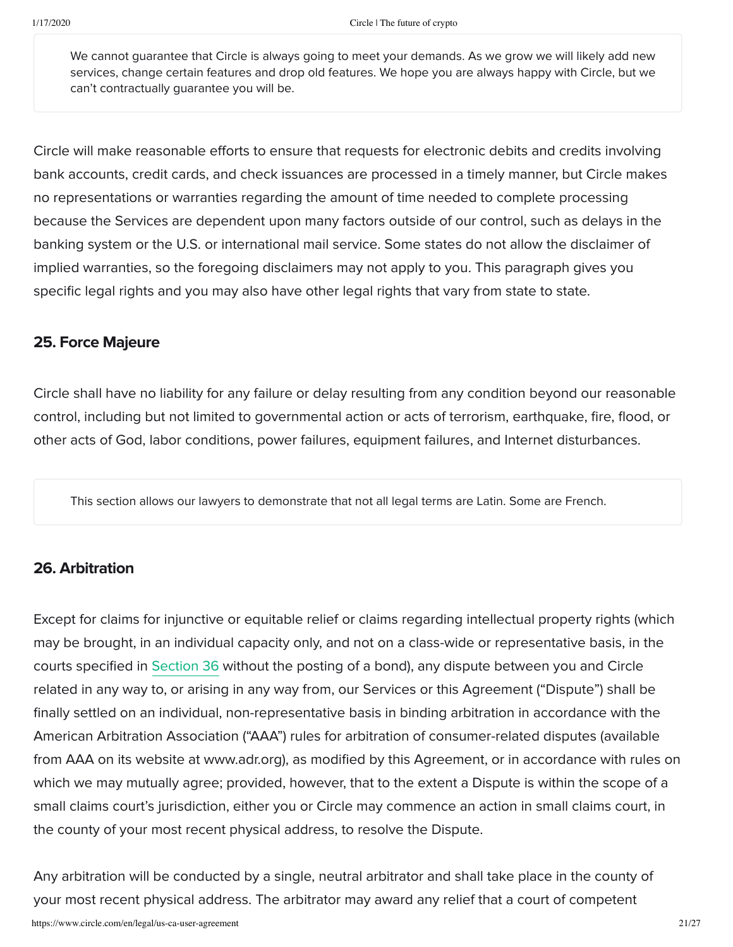We cannot quarantee that Circle is always going to meet your demands. As we grow we will likely add new services, change certain features and drop old features. We hope you are always happy with Circle, but we can't contractually guarantee you will be.

Circle will make reasonable efforts to ensure that requests for electronic debits and credits involving bank accounts, credit cards, and check issuances are processed in a timely manner, but Circle makes no representations or warranties regarding the amount of time needed to complete processing because the Services are dependent upon many factors outside of our control, such as delays in the banking system or the U.S. or international mail service. Some states do not allow the disclaimer of implied warranties, so the foregoing disclaimers may not apply to you. This paragraph gives you specific legal rights and you may also have other legal rights that vary from state to state.

## 25. Force Majeure

Circle shall have no liability for any failure or delay resulting from any condition beyond our reasonable control, including but not limited to governmental action or acts of terrorism, earthquake, fire, flood, or other acts of God, labor conditions, power failures, equipment failures, and Internet disturbances.

This section allows our lawyers to demonstrate that not all legal terms are Latin. Some are French.

## 26. Arbitration

Except for claims for injunctive or equitable relief or claims regarding intellectual property rights (which may be brought, in an individual capacity only, and not on a class-wide or representative basis, in the courts specified in Section 36 without the posting of a bond), any dispute between you and Circle related in any way to, or arising in any way from, our Services or this Agreement ("Dispute") shall be finally settled on an individual, non-representative basis in binding arbitration in accordance with the American Arbitration Association ("AAA") rules for arbitration of consumer-related disputes (available from AAA on its website at www.adr.org), as modified by this Agreement, or in accordance with rules on which we may mutually agree; provided, however, that to the extent a Dispute is within the scope of a small claims court's jurisdiction, either you or Circle may commence an action in small claims court, in the county of your most recent physical address, to resolve the Dispute.

Any arbitration will be conducted by a single, neutral arbitrator and shall take place in the county of your most recent physical address. The arbitrator may award any relief that a court of competent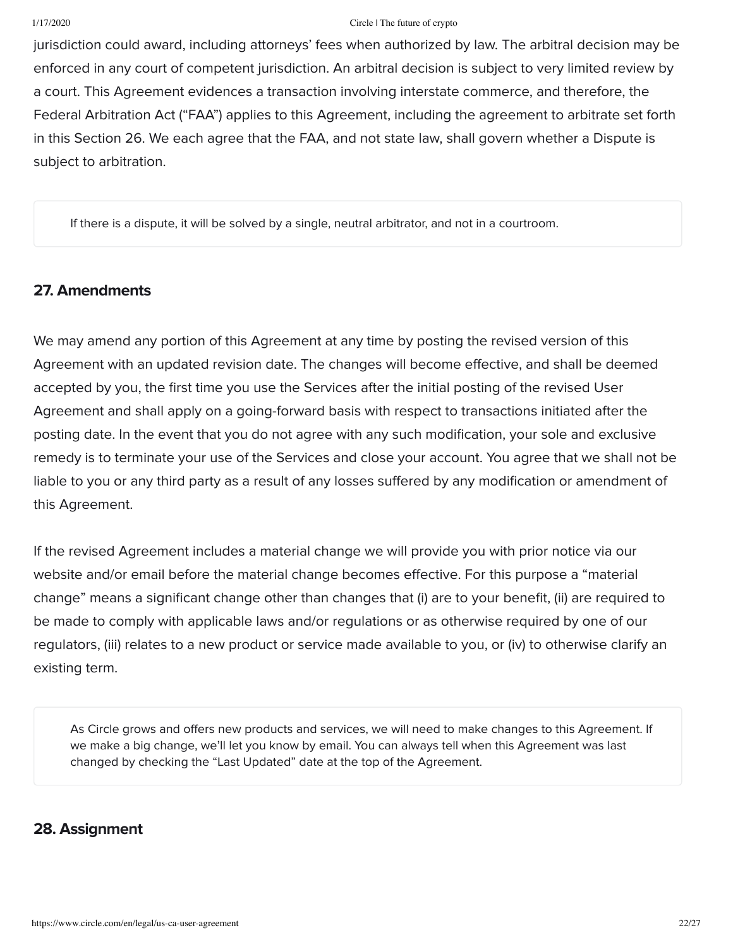jurisdiction could award, including attorneys' fees when authorized by law. The arbitral decision may be enforced in any court of competent jurisdiction. An arbitral decision is subject to very limited review by a court. This Agreement evidences a transaction involving interstate commerce, and therefore, the Federal Arbitration Act ("FAA") applies to this Agreement, including the agreement to arbitrate set forth in this Section 26. We each agree that the FAA, and not state law, shall govern whether a Dispute is subject to arbitration.

If there is a dispute, it will be solved by a single, neutral arbitrator, and not in a courtroom.

## 27. Amendments

We may amend any portion of this Agreement at any time by posting the revised version of this Agreement with an updated revision date. The changes will become effective, and shall be deemed accepted by you, the first time you use the Services after the initial posting of the revised User Agreement and shall apply on a going-forward basis with respect to transactions initiated after the posting date. In the event that you do not agree with any such modification, your sole and exclusive remedy is to terminate your use of the Services and close your account. You agree that we shall not be liable to you or any third party as a result of any losses suffered by any modification or amendment of this Agreement.

If the revised Agreement includes a material change we will provide you with prior notice via our website and/or email before the material change becomes effective. For this purpose a "material change" means a significant change other than changes that (i) are to your benefit, (ii) are required to be made to comply with applicable laws and/or regulations or as otherwise required by one of our regulators, (iii) relates to a new product or service made available to you, or (iv) to otherwise clarify an existing term.

As Circle grows and offers new products and services, we will need to make changes to this Agreement. If we make a big change, we'll let you know by email. You can always tell when this Agreement was last changed by checking the "Last Updated" date at the top of the Agreement.

# 28. Assignment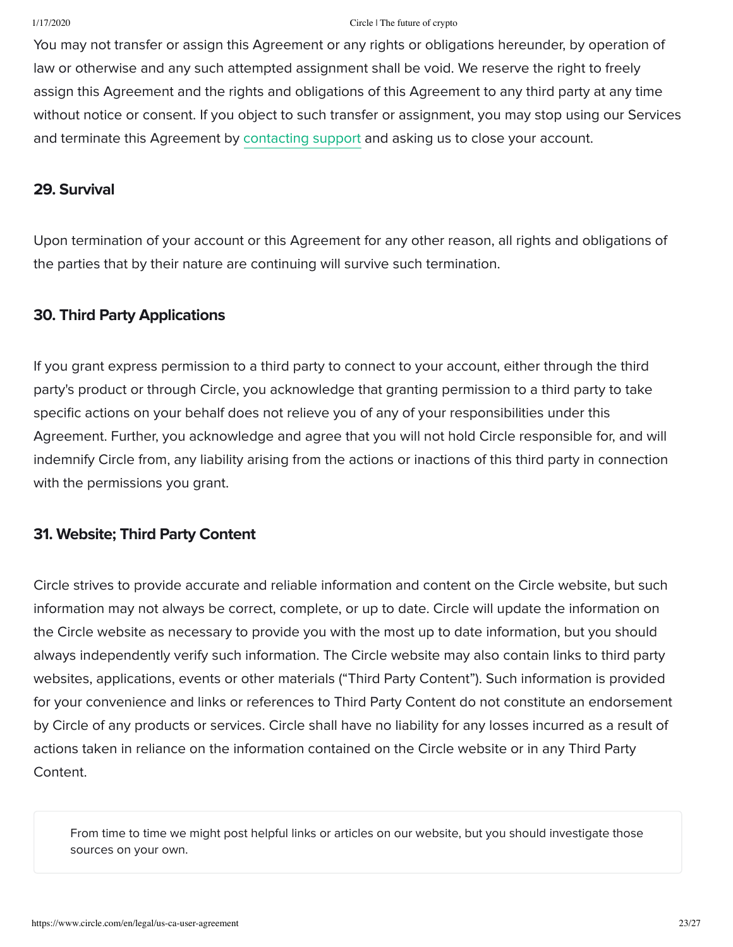You may not transfer or assign this Agreement or any rights or obligations hereunder, by operation of law or otherwise and any such attempted assignment shall be void. We reserve the right to freely assign this Agreement and the rights and obligations of this Agreement to any third party at any time without notice or consent. If you object to such transfer or assignment, you may stop using our Services and terminate this Agreement by [contacting support](https://support.circle.com/hc/en-us/requests/new) and asking us to close your account.

### 29. Survival

Upon termination of your account or this Agreement for any other reason, all rights and obligations of the parties that by their nature are continuing will survive such termination.

## 30. Third Party Applications

If you grant express permission to a third party to connect to your account, either through the third party's product or through Circle, you acknowledge that granting permission to a third party to take specific actions on your behalf does not relieve you of any of your responsibilities under this Agreement. Further, you acknowledge and agree that you will not hold Circle responsible for, and will indemnify Circle from, any liability arising from the actions or inactions of this third party in connection with the permissions you grant.

# 31. Website; Third Party Content

Circle strives to provide accurate and reliable information and content on the Circle website, but such information may not always be correct, complete, or up to date. Circle will update the information on the Circle website as necessary to provide you with the most up to date information, but you should always independently verify such information. The Circle website may also contain links to third party websites, applications, events or other materials ("Third Party Content"). Such information is provided for your convenience and links or references to Third Party Content do not constitute an endorsement by Circle of any products or services. Circle shall have no liability for any losses incurred as a result of actions taken in reliance on the information contained on the Circle website or in any Third Party Content.

From time to time we might post helpful links or articles on our website, but you should investigate those sources on your own.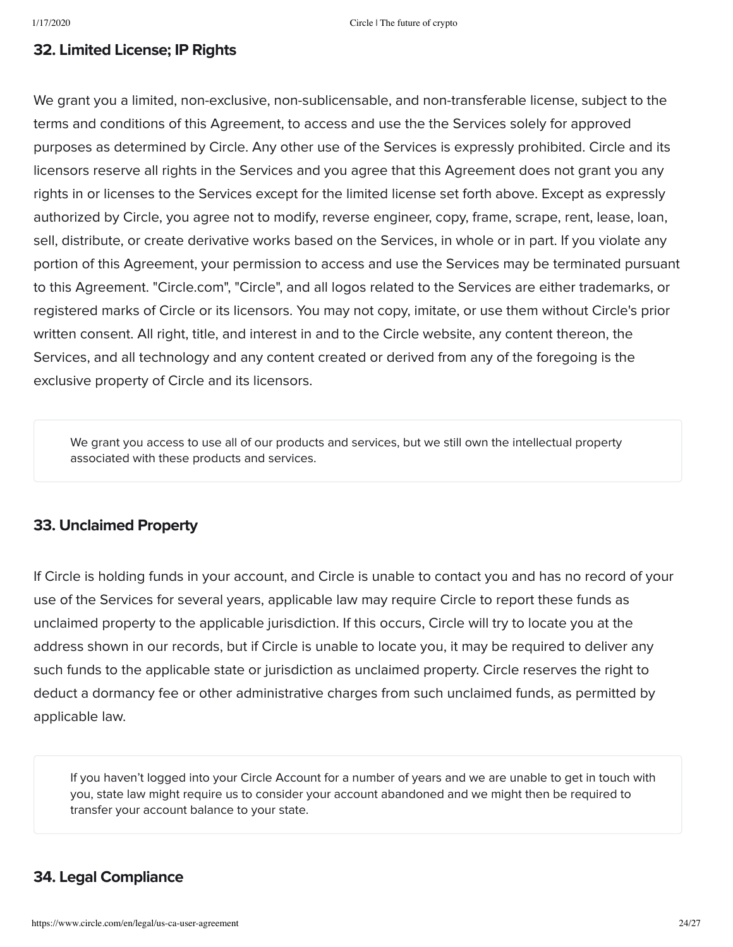## 32. Limited License; IP Rights

We grant you a limited, non-exclusive, non-sublicensable, and non-transferable license, subject to the terms and conditions of this Agreement, to access and use the the Services solely for approved purposes as determined by Circle. Any other use of the Services is expressly prohibited. Circle and its licensors reserve all rights in the Services and you agree that this Agreement does not grant you any rights in or licenses to the Services except for the limited license set forth above. Except as expressly authorized by Circle, you agree not to modify, reverse engineer, copy, frame, scrape, rent, lease, loan, sell, distribute, or create derivative works based on the Services, in whole or in part. If you violate any portion of this Agreement, your permission to access and use the Services may be terminated pursuant to this Agreement. "Circle.com", "Circle", and all logos related to the Services are either trademarks, or registered marks of Circle or its licensors. You may not copy, imitate, or use them without Circle's prior written consent. All right, title, and interest in and to the Circle website, any content thereon, the Services, and all technology and any content created or derived from any of the foregoing is the exclusive property of Circle and its licensors.

We grant you access to use all of our products and services, but we still own the intellectual property associated with these products and services.

## 33. Unclaimed Property

If Circle is holding funds in your account, and Circle is unable to contact you and has no record of your use of the Services for several years, applicable law may require Circle to report these funds as unclaimed property to the applicable jurisdiction. If this occurs, Circle will try to locate you at the address shown in our records, but if Circle is unable to locate you, it may be required to deliver any such funds to the applicable state or jurisdiction as unclaimed property. Circle reserves the right to deduct a dormancy fee or other administrative charges from such unclaimed funds, as permitted by applicable law.

If you haven't logged into your Circle Account for a number of years and we are unable to get in touch with you, state law might require us to consider your account abandoned and we might then be required to transfer your account balance to your state.

# 34. Legal Compliance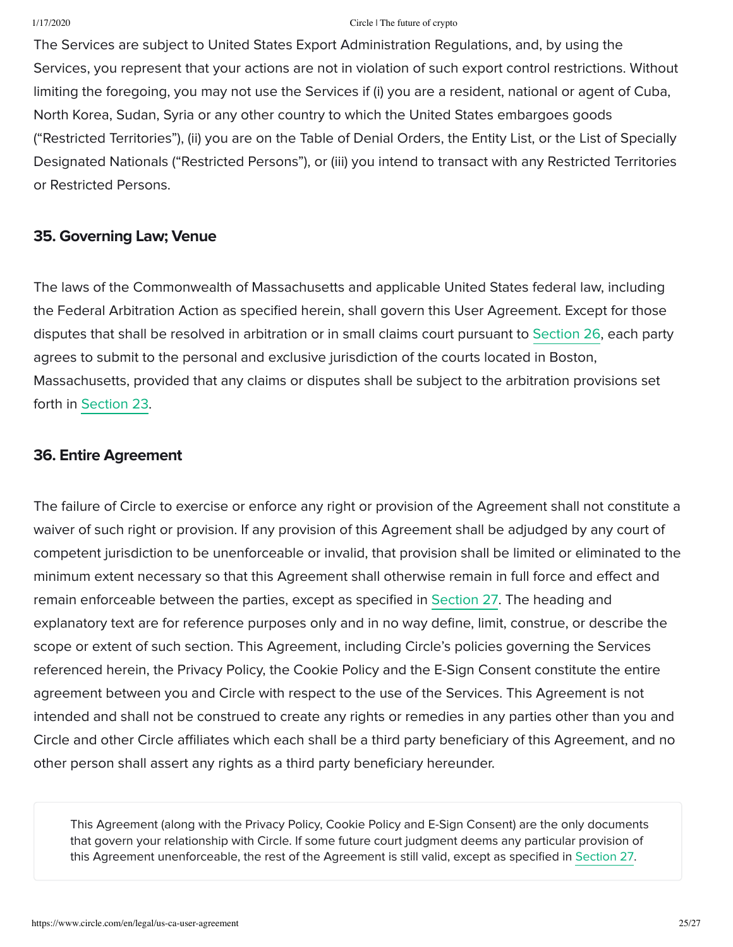The Services are subject to United States Export Administration Regulations, and, by using the Services, you represent that your actions are not in violation of such export control restrictions. Without limiting the foregoing, you may not use the Services if (i) you are a resident, national or agent of Cuba, North Korea, Sudan, Syria or any other country to which the United States embargoes goods ("Restricted Territories"), (ii) you are on the Table of Denial Orders, the Entity List, or the List of Specially Designated Nationals ("Restricted Persons"), or (iii) you intend to transact with any Restricted Territories or Restricted Persons.

## 35. Governing Law; Venue

The laws of the Commonwealth of Massachusetts and applicable United States federal law, including the Federal Arbitration Action as specified herein, shall govern this User Agreement. Except for those disputes that shall be resolved in arbitration or in small claims court pursuant to Section 26, each party agrees to submit to the personal and exclusive jurisdiction of the courts located in Boston, Massachusetts, provided that any claims or disputes shall be subject to the arbitration provisions set forth in Section 23.

## 36. Entire Agreement

The failure of Circle to exercise or enforce any right or provision of the Agreement shall not constitute a waiver of such right or provision. If any provision of this Agreement shall be adjudged by any court of competent jurisdiction to be unenforceable or invalid, that provision shall be limited or eliminated to the minimum extent necessary so that this Agreement shall otherwise remain in full force and effect and remain enforceable between the parties, except as specified in Section 27. The heading and explanatory text are for reference purposes only and in no way define, limit, construe, or describe the scope or extent of such section. This Agreement, including Circle's policies governing the Services referenced herein, the Privacy Policy, the Cookie Policy and the E-Sign Consent constitute the entire agreement between you and Circle with respect to the use of the Services. This Agreement is not intended and shall not be construed to create any rights or remedies in any parties other than you and Circle and other Circle affiliates which each shall be a third party beneficiary of this Agreement, and no other person shall assert any rights as a third party beneficiary hereunder.

This Agreement (along with the Privacy Policy, Cookie Policy and E-Sign Consent) are the only documents that govern your relationship with Circle. If some future court judgment deems any particular provision of this Agreement unenforceable, the rest of the Agreement is still valid, except as specified in Section 27.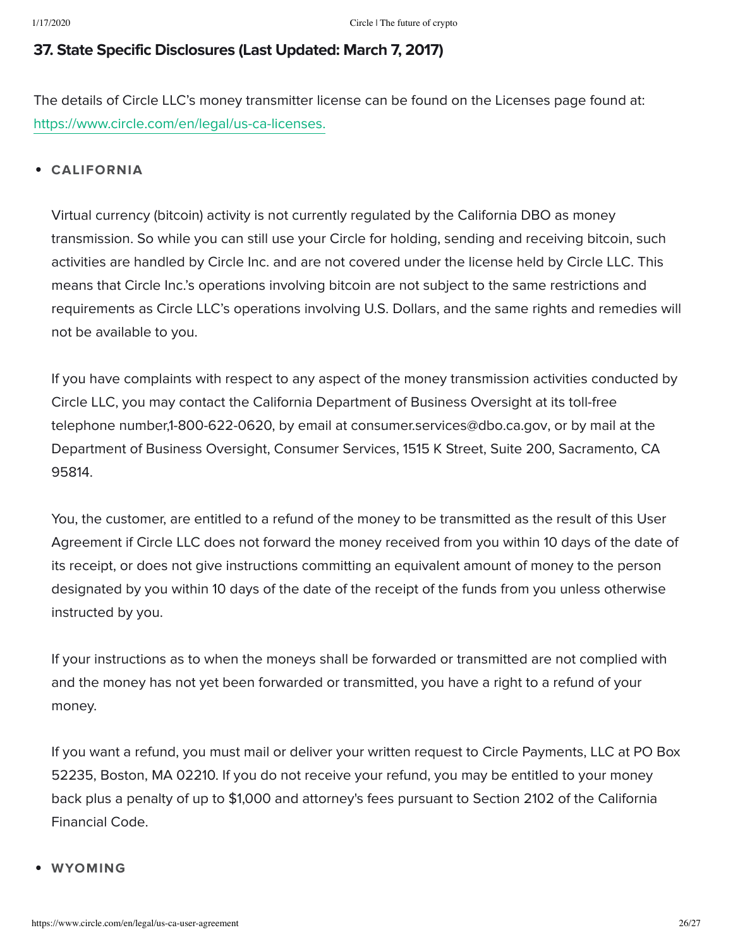# 37. State Specific Disclosures (Last Updated: March 7, 2017)

The details of Circle LLC's money transmitter license can be found on the Licenses page found at: [https://www.circle.com/en/legal/us-ca-licenses.](https://www.circle.com/en/legal/us-ca-licenses)

## CALIFORNIA

Virtual currency (bitcoin) activity is not currently regulated by the California DBO as money transmission. So while you can still use your Circle for holding, sending and receiving bitcoin, such activities are handled by Circle Inc. and are not covered under the license held by Circle LLC. This means that Circle Inc.'s operations involving bitcoin are not subject to the same restrictions and requirements as Circle LLC's operations involving U.S. Dollars, and the same rights and remedies will not be available to you.

If you have complaints with respect to any aspect of the money transmission activities conducted by Circle LLC, you may contact the California Department of Business Oversight at its toll-free telephone number,1-800-622-0620, by email at consumer.services@dbo.ca.gov, or by mail at the Department of Business Oversight, Consumer Services, 1515 K Street, Suite 200, Sacramento, CA 95814.

You, the customer, are entitled to a refund of the money to be transmitted as the result of this User Agreement if Circle LLC does not forward the money received from you within 10 days of the date of its receipt, or does not give instructions committing an equivalent amount of money to the person designated by you within 10 days of the date of the receipt of the funds from you unless otherwise instructed by you.

If your instructions as to when the moneys shall be forwarded or transmitted are not complied with and the money has not yet been forwarded or transmitted, you have a right to a refund of your money.

If you want a refund, you must mail or deliver your written request to Circle Payments, LLC at PO Box 52235, Boston, MA 02210. If you do not receive your refund, you may be entitled to your money back plus a penalty of up to \$1,000 and attorney's fees pursuant to Section 2102 of the California Financial Code.

### WYOMING